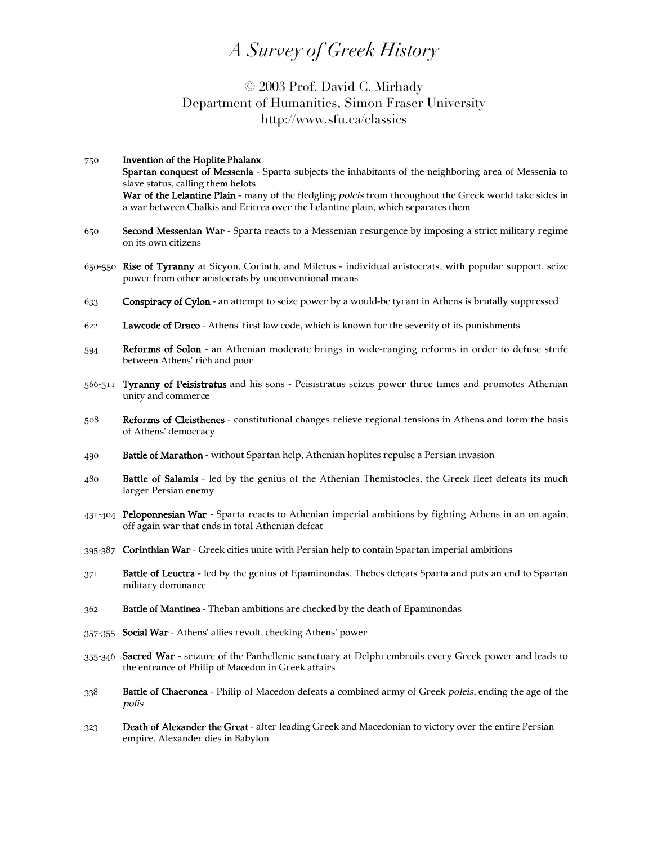# *A Survey of Greek History*

# © 2003 Prof. David C. Mirhady Department of Humanities, Simon Fraser University http://www.sfu.ca/classics

#### 750 Invention of the Hoplite Phalanx Spartan conquest of Messenia - Sparta subjects the inhabitants of the neighboring area of Messenia to slave status, calling them helots War of the Lelantine Plain - many of the fledgling poleis from throughout the Greek world take sides in a war between Chalkis and Eritrea over the Lelantine plain, which separates them

- 650 Second Messenian War Sparta reacts to a Messenian resurgence by imposing a strict military regime on its own citizens
- 650-550 Rise of Tyranny at Sicyon, Corinth, and Miletus individual aristocrats, with popular support, seize power from other aristocrats by unconventional means
- 633 Conspiracy of Cylon an attempt to seize power by a would-be tyrant in Athens is brutally suppressed
- 622 Lawcode of Draco Athens' first law code, which is known for the severity of its punishments
- 594 Reforms of Solon an Athenian moderate brings in wide-ranging reforms in order to defuse strife between Athens' rich and poor
- 566-511 Tyranny of Peisistratus and his sons Peisistratus seizes power three times and promotes Athenian unity and commerce
- 508 Reforms of Cleisthenes constitutional changes relieve regional tensions in Athens and form the basis of Athens' democracy
- 490 Battle of Marathon without Spartan help, Athenian hoplites repulse a Persian invasion
- 480 Battle of Salamis led by the genius of the Athenian Themistocles, the Greek fleet defeats its much larger Persian enemy
- 431-404 Peloponnesian War Sparta reacts to Athenian imperial ambitions by fighting Athens in an on again, off again war that ends in total Athenian defeat
- 395-387 Corinthian War Greek cities unite with Persian help to contain Spartan imperial ambitions
- 371 Battle of Leuctra led by the genius of Epaminondas, Thebes defeats Sparta and puts an end to Spartan military dominance
- 362 Battle of Mantinea Theban ambitions are checked by the death of Epaminondas
- 357-355 Social War Athens' allies revolt, checking Athens' power
- 355-346 Sacred War seizure of the Panhellenic sanctuary at Delphi embroils every Greek power and leads to the entrance of Philip of Macedon in Greek affairs
- 338 Battle of Chaeronea Philip of Macedon defeats a combined army of Greek poleis, ending the age of the polis
- 323 Death of Alexander the Great after leading Greek and Macedonian to victory over the entire Persian empire, Alexander dies in Babylon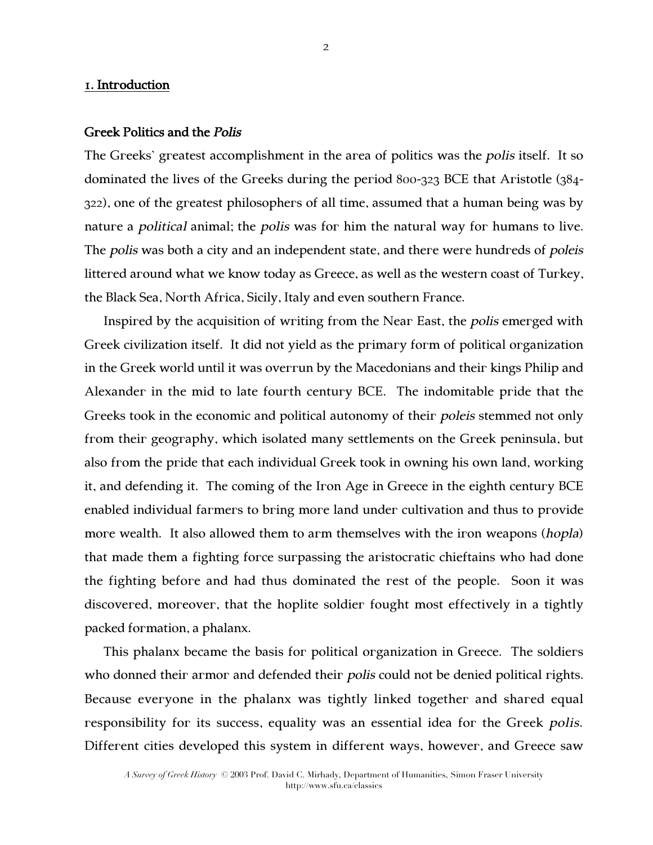# 1. Introduction

#### Greek Politics and the Polis

The Greeks' greatest accomplishment in the area of politics was the *polis* itself. It so dominated the lives of the Greeks during the period 800-323 BCE that Aristotle (384- 322), one of the greatest philosophers of all time, assumed that a human being was by nature a *political* animal; the *polis* was for him the natural way for humans to live. The *polis* was both a city and an independent state, and there were hundreds of *poleis* littered around what we know today as Greece, as well as the western coast of Turkey, the Black Sea, North Africa, Sicily, Italy and even southern France.

Inspired by the acquisition of writing from the Near East, the polis emerged with Greek civilization itself. It did not yield as the primary form of political organization in the Greek world until it was overrun by the Macedonians and their kings Philip and Alexander in the mid to late fourth century BCE. The indomitable pride that the Greeks took in the economic and political autonomy of their *poleis* stemmed not only from their geography, which isolated many settlements on the Greek peninsula, but also from the pride that each individual Greek took in owning his own land, working it, and defending it. The coming of the Iron Age in Greece in the eighth century BCE enabled individual farmers to bring more land under cultivation and thus to provide more wealth. It also allowed them to arm themselves with the iron weapons (*hopla*) that made them a fighting force surpassing the aristocratic chieftains who had done the fighting before and had thus dominated the rest of the people. Soon it was discovered, moreover, that the hoplite soldier fought most effectively in a tightly packed formation, a phalanx.

This phalanx became the basis for political organization in Greece. The soldiers who donned their armor and defended their *polis* could not be denied political rights. Because everyone in the phalanx was tightly linked together and shared equal responsibility for its success, equality was an essential idea for the Greek polis. Different cities developed this system in different ways, however, and Greece saw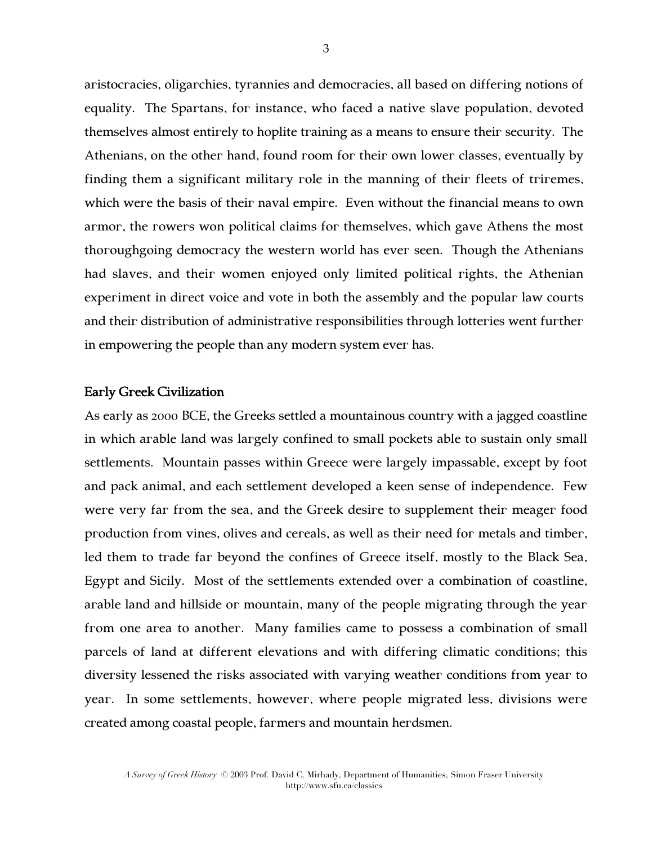aristocracies, oligarchies, tyrannies and democracies, all based on differing notions of equality. The Spartans, for instance, who faced a native slave population, devoted themselves almost entirely to hoplite training as a means to ensure their security. The Athenians, on the other hand, found room for their own lower classes, eventually by finding them a significant military role in the manning of their fleets of triremes, which were the basis of their naval empire. Even without the financial means to own armor, the rowers won political claims for themselves, which gave Athens the most thoroughgoing democracy the western world has ever seen. Though the Athenians had slaves, and their women enjoyed only limited political rights, the Athenian experiment in direct voice and vote in both the assembly and the popular law courts and their distribution of administrative responsibilities through lotteries went further in empowering the people than any modern system ever has.

#### Early Greek Civilization

As early as 2000 BCE, the Greeks settled a mountainous country with a jagged coastline in which arable land was largely confined to small pockets able to sustain only small settlements. Mountain passes within Greece were largely impassable, except by foot and pack animal, and each settlement developed a keen sense of independence. Few were very far from the sea, and the Greek desire to supplement their meager food production from vines, olives and cereals, as well as their need for metals and timber, led them to trade far beyond the confines of Greece itself, mostly to the Black Sea, Egypt and Sicily. Most of the settlements extended over a combination of coastline, arable land and hillside or mountain, many of the people migrating through the year from one area to another. Many families came to possess a combination of small parcels of land at different elevations and with differing climatic conditions; this diversity lessened the risks associated with varying weather conditions from year to year. In some settlements, however, where people migrated less, divisions were created among coastal people, farmers and mountain herdsmen.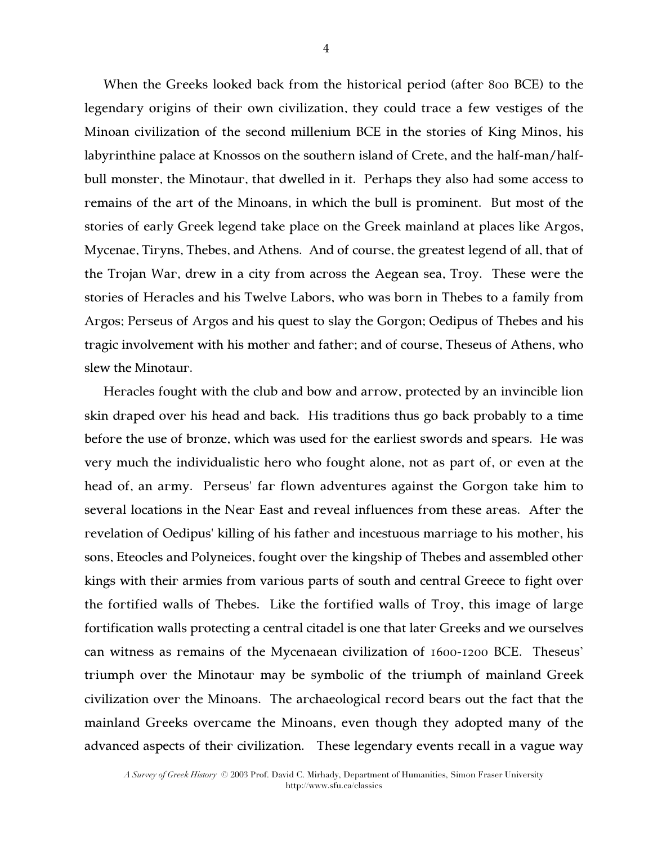When the Greeks looked back from the historical period (after 800 BCE) to the legendary origins of their own civilization, they could trace a few vestiges of the Minoan civilization of the second millenium BCE in the stories of King Minos, his labyrinthine palace at Knossos on the southern island of Crete, and the half-man/halfbull monster, the Minotaur, that dwelled in it. Perhaps they also had some access to remains of the art of the Minoans, in which the bull is prominent. But most of the stories of early Greek legend take place on the Greek mainland at places like Argos, Mycenae, Tiryns, Thebes, and Athens. And of course, the greatest legend of all, that of the Trojan War, drew in a city from across the Aegean sea, Troy. These were the stories of Heracles and his Twelve Labors, who was born in Thebes to a family from Argos; Perseus of Argos and his quest to slay the Gorgon; Oedipus of Thebes and his tragic involvement with his mother and father; and of course, Theseus of Athens, who slew the Minotaur.

Heracles fought with the club and bow and arrow, protected by an invincible lion skin draped over his head and back. His traditions thus go back probably to a time before the use of bronze, which was used for the earliest swords and spears. He was very much the individualistic hero who fought alone, not as part of, or even at the head of, an army. Perseus' far flown adventures against the Gorgon take him to several locations in the Near East and reveal influences from these areas. After the revelation of Oedipus' killing of his father and incestuous marriage to his mother, his sons, Eteocles and Polyneices, fought over the kingship of Thebes and assembled other kings with their armies from various parts of south and central Greece to fight over the fortified walls of Thebes. Like the fortified walls of Troy, this image of large fortification walls protecting a central citadel is one that later Greeks and we ourselves can witness as remains of the Mycenaean civilization of 1600-1200 BCE. Theseus' triumph over the Minotaur may be symbolic of the triumph of mainland Greek civilization over the Minoans. The archaeological record bears out the fact that the mainland Greeks overcame the Minoans, even though they adopted many of the advanced aspects of their civilization. These legendary events recall in a vague way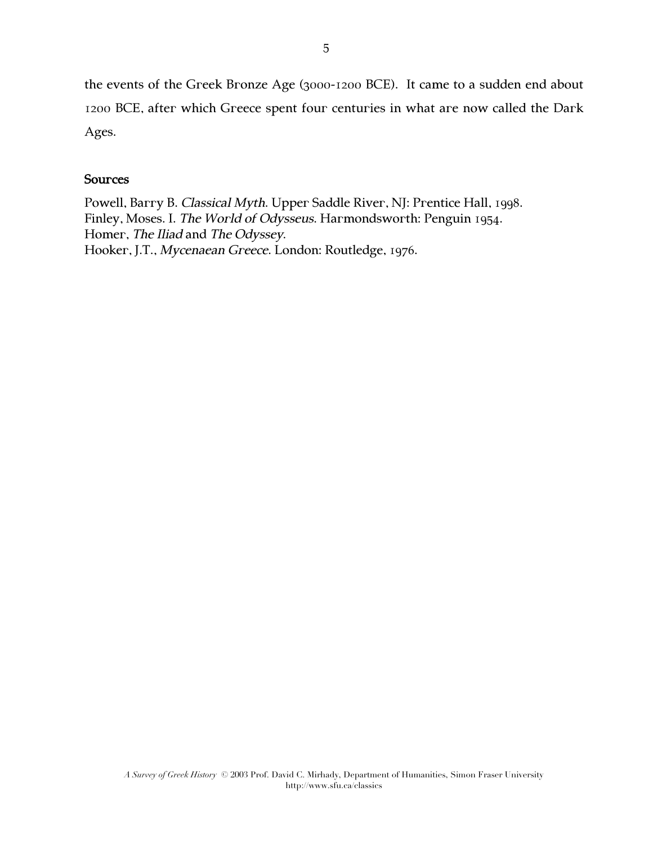the events of the Greek Bronze Age (3000-1200 BCE). It came to a sudden end about 1200 BCE, after which Greece spent four centuries in what are now called the Dark Ages.

# **Sources**

Powell, Barry B. Classical Myth. Upper Saddle River, NJ: Prentice Hall, 1998. Finley, Moses. I. The World of Odysseus. Harmondsworth: Penguin 1954. Homer, The Iliad and The Odyssey. Hooker, J.T., Mycenaean Greece. London: Routledge, 1976.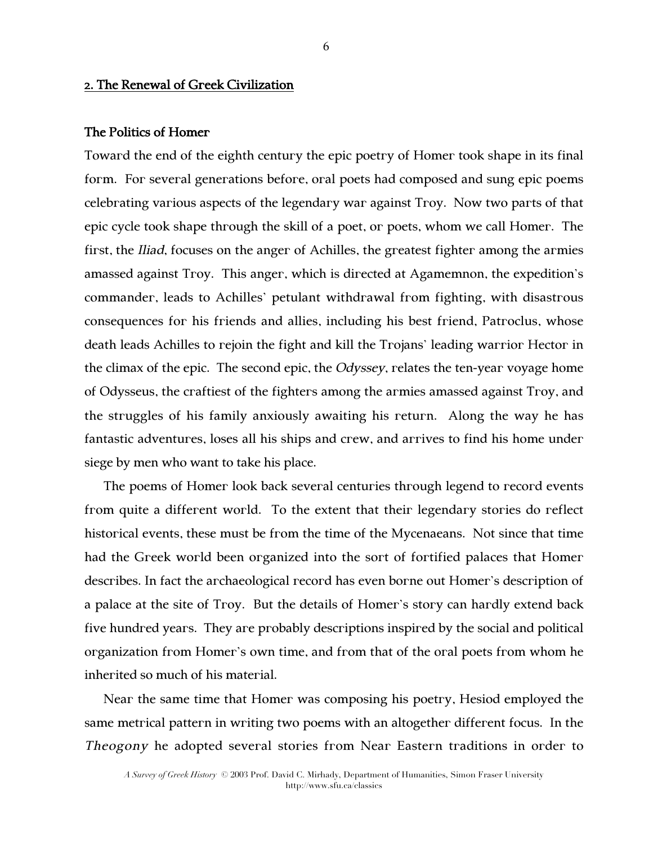# 2. The Renewal of Greek Civilization

# The Politics of Homer

Toward the end of the eighth century the epic poetry of Homer took shape in its final form. For several generations before, oral poets had composed and sung epic poems celebrating various aspects of the legendary war against Troy. Now two parts of that epic cycle took shape through the skill of a poet, or poets, whom we call Homer. The first, the Iliad, focuses on the anger of Achilles, the greatest fighter among the armies amassed against Troy. This anger, which is directed at Agamemnon, the expedition's commander, leads to Achilles' petulant withdrawal from fighting, with disastrous consequences for his friends and allies, including his best friend, Patroclus, whose death leads Achilles to rejoin the fight and kill the Trojans' leading warrior Hector in the climax of the epic. The second epic, the *Odyssey*, relates the ten-year voyage home of Odysseus, the craftiest of the fighters among the armies amassed against Troy, and the struggles of his family anxiously awaiting his return. Along the way he has fantastic adventures, loses all his ships and crew, and arrives to find his home under siege by men who want to take his place.

The poems of Homer look back several centuries through legend to record events from quite a different world. To the extent that their legendary stories do reflect historical events, these must be from the time of the Mycenaeans. Not since that time had the Greek world been organized into the sort of fortified palaces that Homer describes. In fact the archaeological record has even borne out Homer's description of a palace at the site of Troy. But the details of Homer's story can hardly extend back five hundred years. They are probably descriptions inspired by the social and political organization from Homer's own time, and from that of the oral poets from whom he inherited so much of his material.

Near the same time that Homer was composing his poetry, Hesiod employed the same metrical pattern in writing two poems with an altogether different focus. In the Theogony he adopted several stories from Near Eastern traditions in order to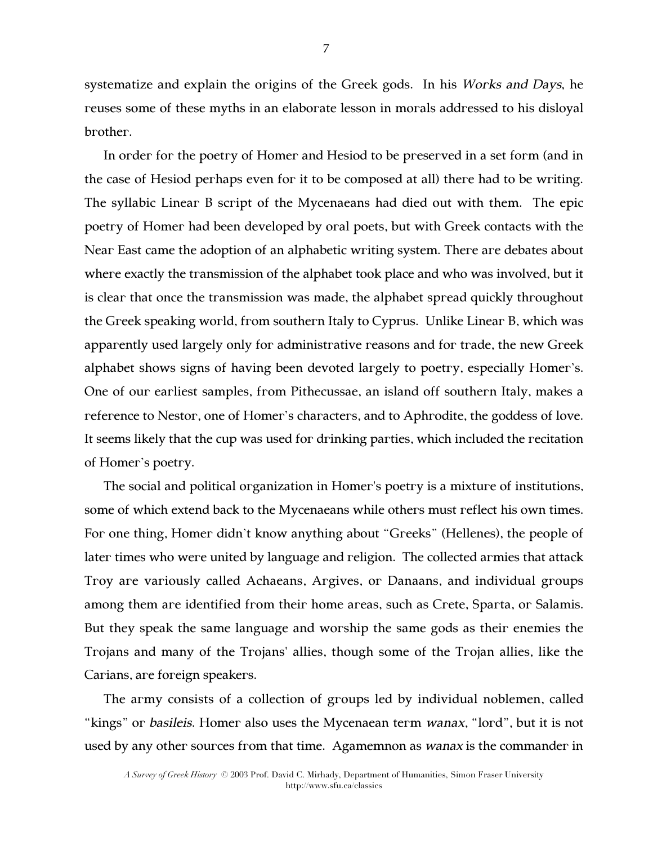systematize and explain the origins of the Greek gods. In his Works and Days, he reuses some of these myths in an elaborate lesson in morals addressed to his disloyal brother.

In order for the poetry of Homer and Hesiod to be preserved in a set form (and in the case of Hesiod perhaps even for it to be composed at all) there had to be writing. The syllabic Linear B script of the Mycenaeans had died out with them. The epic poetry of Homer had been developed by oral poets, but with Greek contacts with the Near East came the adoption of an alphabetic writing system. There are debates about where exactly the transmission of the alphabet took place and who was involved, but it is clear that once the transmission was made, the alphabet spread quickly throughout the Greek speaking world, from southern Italy to Cyprus. Unlike Linear B, which was apparently used largely only for administrative reasons and for trade, the new Greek alphabet shows signs of having been devoted largely to poetry, especially Homer's. One of our earliest samples, from Pithecussae, an island off southern Italy, makes a reference to Nestor, one of Homer's characters, and to Aphrodite, the goddess of love. It seems likely that the cup was used for drinking parties, which included the recitation of Homer's poetry.

The social and political organization in Homer's poetry is a mixture of institutions, some of which extend back to the Mycenaeans while others must reflect his own times. For one thing, Homer didn't know anything about "Greeks" (Hellenes), the people of later times who were united by language and religion. The collected armies that attack Troy are variously called Achaeans, Argives, or Danaans, and individual groups among them are identified from their home areas, such as Crete, Sparta, or Salamis. But they speak the same language and worship the same gods as their enemies the Trojans and many of the Trojans' allies, though some of the Trojan allies, like the Carians, are foreign speakers.

The army consists of a collection of groups led by individual noblemen, called "kings" or *basileis*. Homer also uses the Mycenaean term *wanax*, "lord", but it is not used by any other sources from that time. Agamemnon as *wanax* is the commander in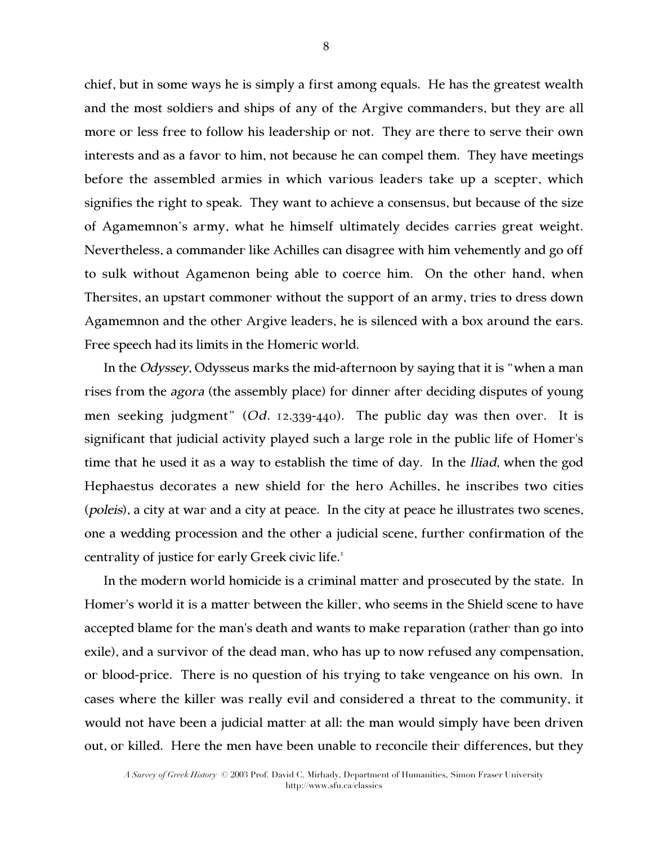chief, but in some ways he is simply a first among equals. He has the greatest wealth and the most soldiers and ships of any of the Argive commanders, but they are all more or less free to follow his leadership or not. They are there to serve their own interests and as a favor to him, not because he can compel them. They have meetings before the assembled armies in which various leaders take up a scepter, which signifies the right to speak. They want to achieve a consensus, but because of the size of Agamemnon's army, what he himself ultimately decides carries great weight. Nevertheless, a commander like Achilles can disagree with him vehemently and go off to sulk without Agamenon being able to coerce him. On the other hand, when Thersites, an upstart commoner without the support of an army, tries to dress down Agamemnon and the other Argive leaders, he is silenced with a box around the ears. Free speech had its limits in the Homeric world.

In the Odyssey, Odysseus marks the mid-afternoon by saying that it is "when a man rises from the agora (the assembly place) for dinner after deciding disputes of young men seeking judgment" (Od. 12.339-440). The public day was then over. It is significant that judicial activity played such a large role in the public life of Homer's time that he used it as a way to establish the time of day. In the *Iliad*, when the god Hephaestus decorates a new shield for the hero Achilles, he inscribes two cities (poleis), a city at war and a city at peace. In the city at peace he illustrates two scenes, one a wedding procession and the other a judicial scene, further confirmation of the centrality of justice for early Greek civic life.<sup>1</sup>

In the modern world homicide is a criminal matter and prosecuted by the state. In Homer's world it is a matter between the killer, who seems in the Shield scene to have accepted blame for the man's death and wants to make reparation (rather than go into exile), and a survivor of the dead man, who has up to now refused any compensation, or blood-price. There is no question of his trying to take vengeance on his own. In cases where the killer was really evil and considered a threat to the community, it would not have been a judicial matter at all: the man would simply have been driven out, or killed. Here the men have been unable to reconcile their differences, but they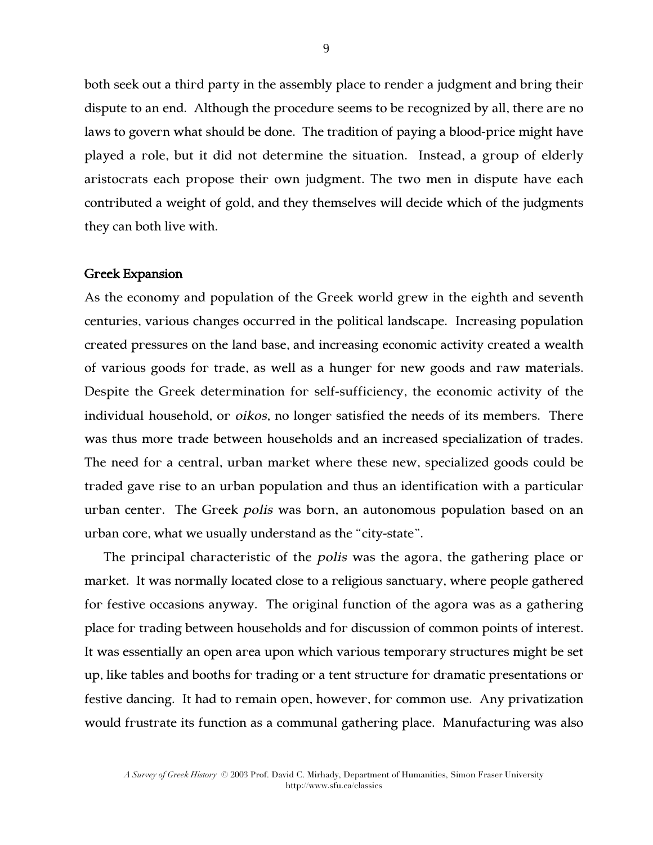both seek out a third party in the assembly place to render a judgment and bring their dispute to an end. Although the procedure seems to be recognized by all, there are no laws to govern what should be done. The tradition of paying a blood-price might have played a role, but it did not determine the situation. Instead, a group of elderly aristocrats each propose their own judgment. The two men in dispute have each contributed a weight of gold, and they themselves will decide which of the judgments they can both live with.

#### Greek Expansion

As the economy and population of the Greek world grew in the eighth and seventh centuries, various changes occurred in the political landscape. Increasing population created pressures on the land base, and increasing economic activity created a wealth of various goods for trade, as well as a hunger for new goods and raw materials. Despite the Greek determination for self-sufficiency, the economic activity of the individual household, or *oikos*, no longer satisfied the needs of its members. There was thus more trade between households and an increased specialization of trades. The need for a central, urban market where these new, specialized goods could be traded gave rise to an urban population and thus an identification with a particular urban center. The Greek polis was born, an autonomous population based on an urban core, what we usually understand as the "city-state".

The principal characteristic of the *polis* was the agora, the gathering place or market. It was normally located close to a religious sanctuary, where people gathered for festive occasions anyway. The original function of the agora was as a gathering place for trading between households and for discussion of common points of interest. It was essentially an open area upon which various temporary structures might be set up, like tables and booths for trading or a tent structure for dramatic presentations or festive dancing. It had to remain open, however, for common use. Any privatization would frustrate its function as a communal gathering place. Manufacturing was also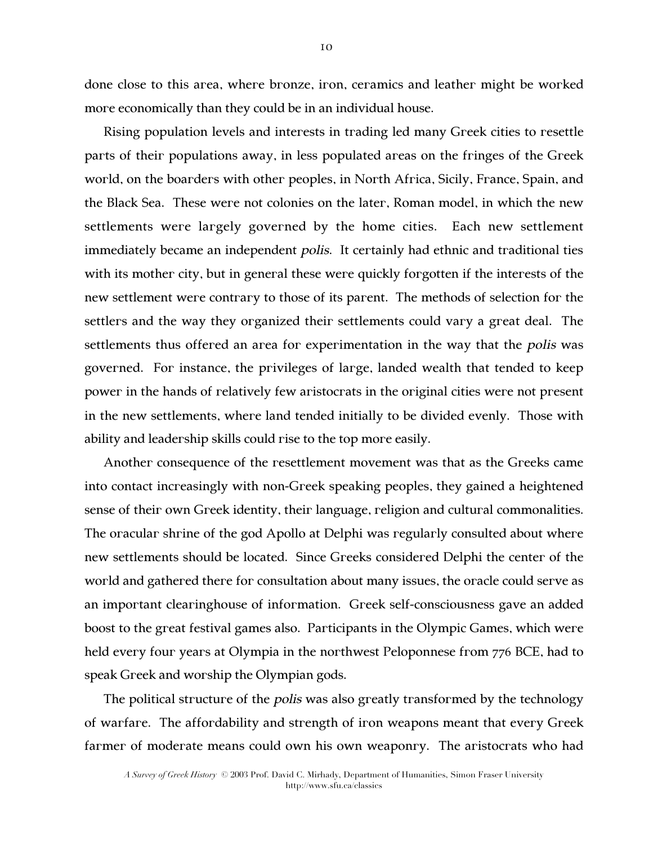done close to this area, where bronze, iron, ceramics and leather might be worked more economically than they could be in an individual house.

Rising population levels and interests in trading led many Greek cities to resettle parts of their populations away, in less populated areas on the fringes of the Greek world, on the boarders with other peoples, in North Africa, Sicily, France, Spain, and the Black Sea. These were not colonies on the later, Roman model, in which the new settlements were largely governed by the home cities. Each new settlement immediately became an independent *polis*. It certainly had ethnic and traditional ties with its mother city, but in general these were quickly forgotten if the interests of the new settlement were contrary to those of its parent. The methods of selection for the settlers and the way they organized their settlements could vary a great deal. The settlements thus offered an area for experimentation in the way that the *polis* was governed. For instance, the privileges of large, landed wealth that tended to keep power in the hands of relatively few aristocrats in the original cities were not present in the new settlements, where land tended initially to be divided evenly. Those with ability and leadership skills could rise to the top more easily.

Another consequence of the resettlement movement was that as the Greeks came into contact increasingly with non-Greek speaking peoples, they gained a heightened sense of their own Greek identity, their language, religion and cultural commonalities. The oracular shrine of the god Apollo at Delphi was regularly consulted about where new settlements should be located. Since Greeks considered Delphi the center of the world and gathered there for consultation about many issues, the oracle could serve as an important clearinghouse of information. Greek self-consciousness gave an added boost to the great festival games also. Participants in the Olympic Games, which were held every four years at Olympia in the northwest Peloponnese from 776 BCE, had to speak Greek and worship the Olympian gods.

The political structure of the *polis* was also greatly transformed by the technology of warfare. The affordability and strength of iron weapons meant that every Greek farmer of moderate means could own his own weaponry. The aristocrats who had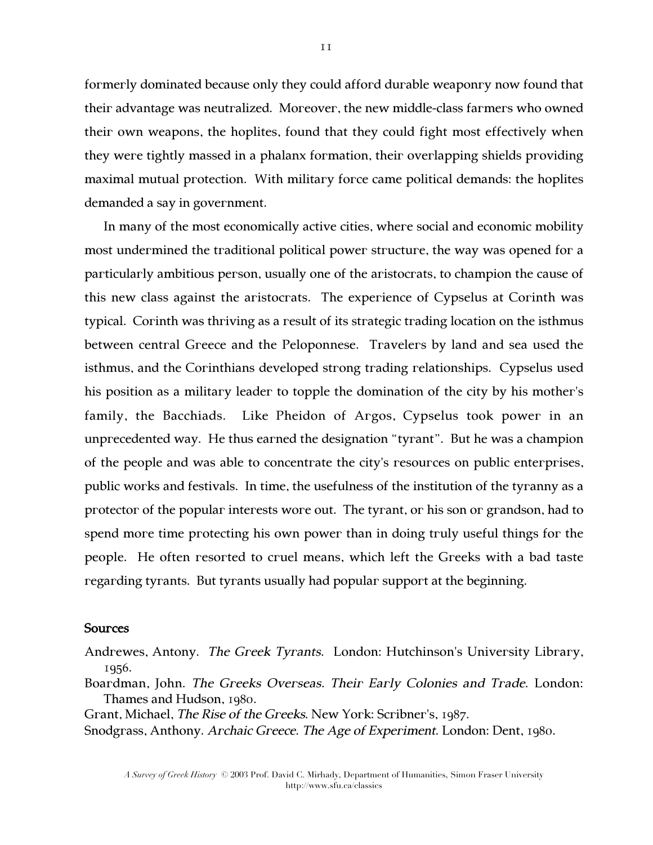formerly dominated because only they could afford durable weaponry now found that their advantage was neutralized. Moreover, the new middle-class farmers who owned their own weapons, the hoplites, found that they could fight most effectively when they were tightly massed in a phalanx formation, their overlapping shields providing maximal mutual protection. With military force came political demands: the hoplites demanded a say in government.

In many of the most economically active cities, where social and economic mobility most undermined the traditional political power structure, the way was opened for a particularly ambitious person, usually one of the aristocrats, to champion the cause of this new class against the aristocrats. The experience of Cypselus at Corinth was typical. Corinth was thriving as a result of its strategic trading location on the isthmus between central Greece and the Peloponnese. Travelers by land and sea used the isthmus, and the Corinthians developed strong trading relationships. Cypselus used his position as a military leader to topple the domination of the city by his mother's family, the Bacchiads. Like Pheidon of Argos, Cypselus took power in an unprecedented way. He thus earned the designation "tyrant". But he was a champion of the people and was able to concentrate the city's resources on public enterprises, public works and festivals. In time, the usefulness of the institution of the tyranny as a protector of the popular interests wore out. The tyrant, or his son or grandson, had to spend more time protecting his own power than in doing truly useful things for the people. He often resorted to cruel means, which left the Greeks with a bad taste regarding tyrants. But tyrants usually had popular support at the beginning.

#### Sources

- Andrewes, Antony. The Greek Tyrants. London: Hutchinson's University Library, 1956.
- Boardman, John. The Greeks Overseas. Their Early Colonies and Trade. London: Thames and Hudson, 1980.

Grant, Michael, The Rise of the Greeks. New York: Scribner's, 1987.

Snodgrass, Anthony. Archaic Greece. The Age of Experiment. London: Dent, 1980.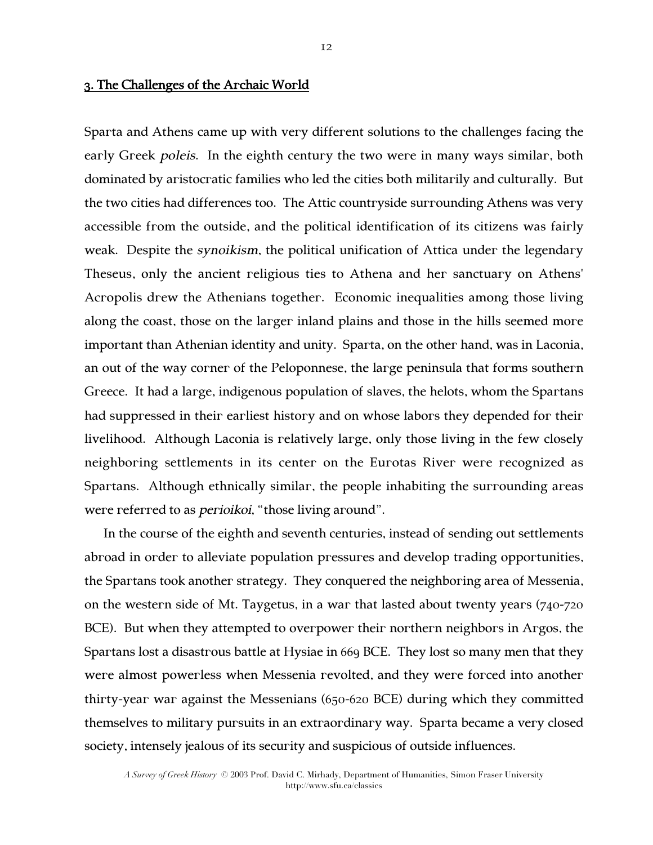# 3. The Challenges of the Archaic World

Sparta and Athens came up with very different solutions to the challenges facing the early Greek *poleis*. In the eighth century the two were in many ways similar, both dominated by aristocratic families who led the cities both militarily and culturally. But the two cities had differences too. The Attic countryside surrounding Athens was very accessible from the outside, and the political identification of its citizens was fairly weak. Despite the *synoikism*, the political unification of Attica under the legendary Theseus, only the ancient religious ties to Athena and her sanctuary on Athens' Acropolis drew the Athenians together. Economic inequalities among those living along the coast, those on the larger inland plains and those in the hills seemed more important than Athenian identity and unity. Sparta, on the other hand, was in Laconia, an out of the way corner of the Peloponnese, the large peninsula that forms southern Greece. It had a large, indigenous population of slaves, the helots, whom the Spartans had suppressed in their earliest history and on whose labors they depended for their livelihood. Although Laconia is relatively large, only those living in the few closely neighboring settlements in its center on the Eurotas River were recognized as Spartans. Although ethnically similar, the people inhabiting the surrounding areas were referred to as *perioikoi*, "those living around".

In the course of the eighth and seventh centuries, instead of sending out settlements abroad in order to alleviate population pressures and develop trading opportunities, the Spartans took another strategy. They conquered the neighboring area of Messenia, on the western side of Mt. Taygetus, in a war that lasted about twenty years (740-720 BCE). But when they attempted to overpower their northern neighbors in Argos, the Spartans lost a disastrous battle at Hysiae in 669 BCE. They lost so many men that they were almost powerless when Messenia revolted, and they were forced into another thirty-year war against the Messenians (650-620 BCE) during which they committed themselves to military pursuits in an extraordinary way. Sparta became a very closed society, intensely jealous of its security and suspicious of outside influences.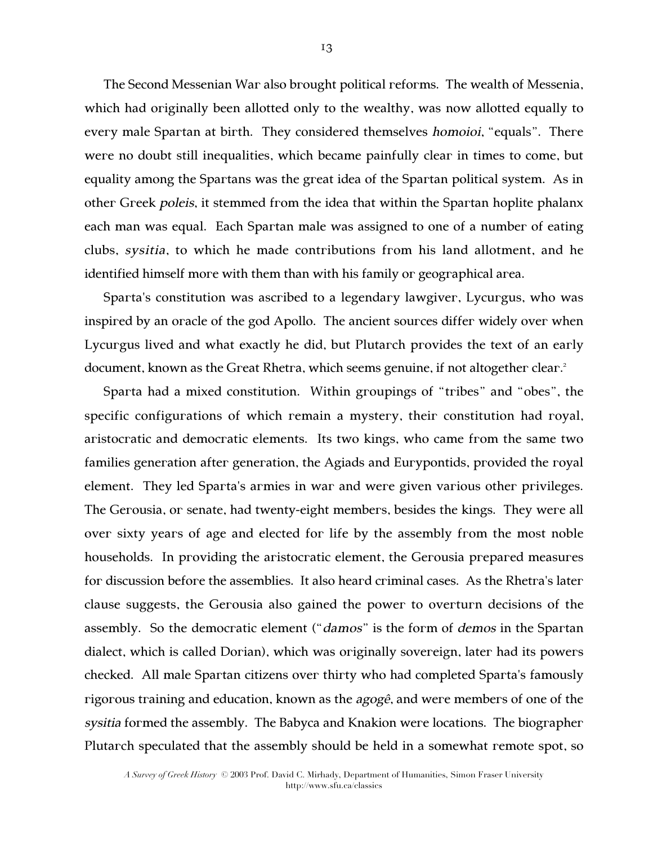The Second Messenian War also brought political reforms. The wealth of Messenia, which had originally been allotted only to the wealthy, was now allotted equally to every male Spartan at birth. They considered themselves homoioi, "equals". There were no doubt still inequalities, which became painfully clear in times to come, but equality among the Spartans was the great idea of the Spartan political system. As in other Greek *poleis*, it stemmed from the idea that within the Spartan hoplite phalanx each man was equal. Each Spartan male was assigned to one of a number of eating clubs, sysitia, to which he made contributions from his land allotment, and he identified himself more with them than with his family or geographical area.

Sparta's constitution was ascribed to a legendary lawgiver, Lycurgus, who was inspired by an oracle of the god Apollo. The ancient sources differ widely over when Lycurgus lived and what exactly he did, but Plutarch provides the text of an early document, known as the Great Rhetra, which seems genuine, if not altogether clear.<sup>2</sup>

Sparta had a mixed constitution. Within groupings of "tribes" and "obes", the specific configurations of which remain a mystery, their constitution had royal, aristocratic and democratic elements. Its two kings, who came from the same two families generation after generation, the Agiads and Eurypontids, provided the royal element. They led Sparta's armies in war and were given various other privileges. The Gerousia, or senate, had twenty-eight members, besides the kings. They were all over sixty years of age and elected for life by the assembly from the most noble households. In providing the aristocratic element, the Gerousia prepared measures for discussion before the assemblies. It also heard criminal cases. As the Rhetra's later clause suggests, the Gerousia also gained the power to overturn decisions of the assembly. So the democratic element ("*damos*" is the form of *demos* in the Spartan dialect, which is called Dorian), which was originally sovereign, later had its powers checked. All male Spartan citizens over thirty who had completed Sparta's famously rigorous training and education, known as the agogê, and were members of one of the sysitia formed the assembly. The Babyca and Knakion were locations. The biographer Plutarch speculated that the assembly should be held in a somewhat remote spot, so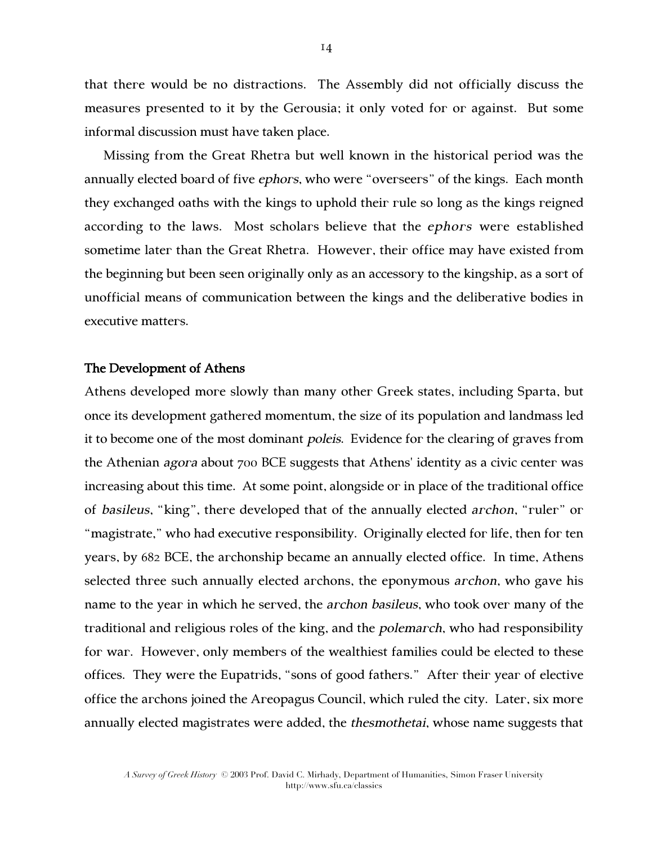that there would be no distractions. The Assembly did not officially discuss the measures presented to it by the Gerousia; it only voted for or against. But some informal discussion must have taken place.

Missing from the Great Rhetra but well known in the historical period was the annually elected board of five *ephors*, who were "overseers" of the kings. Each month they exchanged oaths with the kings to uphold their rule so long as the kings reigned according to the laws. Most scholars believe that the *ephors* were established sometime later than the Great Rhetra. However, their office may have existed from the beginning but been seen originally only as an accessory to the kingship, as a sort of unofficial means of communication between the kings and the deliberative bodies in executive matters.

# The Development of Athens

Athens developed more slowly than many other Greek states, including Sparta, but once its development gathered momentum, the size of its population and landmass led it to become one of the most dominant *poleis*. Evidence for the clearing of graves from the Athenian agora about 700 BCE suggests that Athens' identity as a civic center was increasing about this time. At some point, alongside or in place of the traditional office of basileus, "king", there developed that of the annually elected archon, "ruler" or "magistrate," who had executive responsibility. Originally elected for life, then for ten years, by 682 BCE, the archonship became an annually elected office. In time, Athens selected three such annually elected archons, the eponymous archon, who gave his name to the year in which he served, the archon basileus, who took over many of the traditional and religious roles of the king, and the polemarch, who had responsibility for war. However, only members of the wealthiest families could be elected to these offices. They were the Eupatrids, "sons of good fathers." After their year of elective office the archons joined the Areopagus Council, which ruled the city. Later, six more annually elected magistrates were added, the *thesmothetai*, whose name suggests that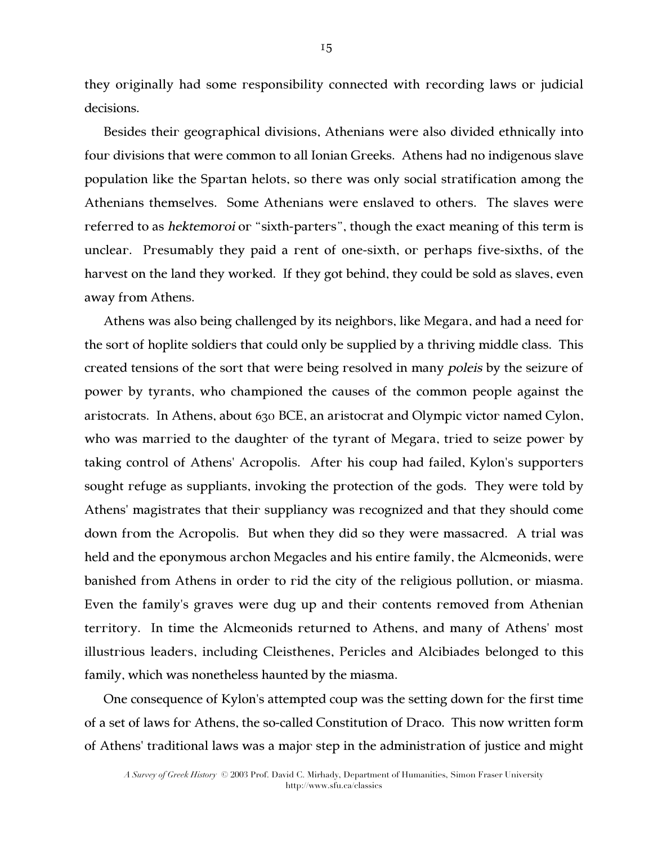they originally had some responsibility connected with recording laws or judicial decisions.

Besides their geographical divisions, Athenians were also divided ethnically into four divisions that were common to all Ionian Greeks. Athens had no indigenous slave population like the Spartan helots, so there was only social stratification among the Athenians themselves. Some Athenians were enslaved to others. The slaves were referred to as *hektemoroi* or "sixth-parters", though the exact meaning of this term is unclear. Presumably they paid a rent of one-sixth, or perhaps five-sixths, of the harvest on the land they worked. If they got behind, they could be sold as slaves, even away from Athens.

Athens was also being challenged by its neighbors, like Megara, and had a need for the sort of hoplite soldiers that could only be supplied by a thriving middle class. This created tensions of the sort that were being resolved in many poleis by the seizure of power by tyrants, who championed the causes of the common people against the aristocrats. In Athens, about 630 BCE, an aristocrat and Olympic victor named Cylon, who was married to the daughter of the tyrant of Megara, tried to seize power by taking control of Athens' Acropolis. After his coup had failed, Kylon's supporters sought refuge as suppliants, invoking the protection of the gods. They were told by Athens' magistrates that their suppliancy was recognized and that they should come down from the Acropolis. But when they did so they were massacred. A trial was held and the eponymous archon Megacles and his entire family, the Alcmeonids, were banished from Athens in order to rid the city of the religious pollution, or miasma. Even the family's graves were dug up and their contents removed from Athenian territory. In time the Alcmeonids returned to Athens, and many of Athens' most illustrious leaders, including Cleisthenes, Pericles and Alcibiades belonged to this family, which was nonetheless haunted by the miasma.

One consequence of Kylon's attempted coup was the setting down for the first time of a set of laws for Athens, the so-called Constitution of Draco. This now written form of Athens' traditional laws was a major step in the administration of justice and might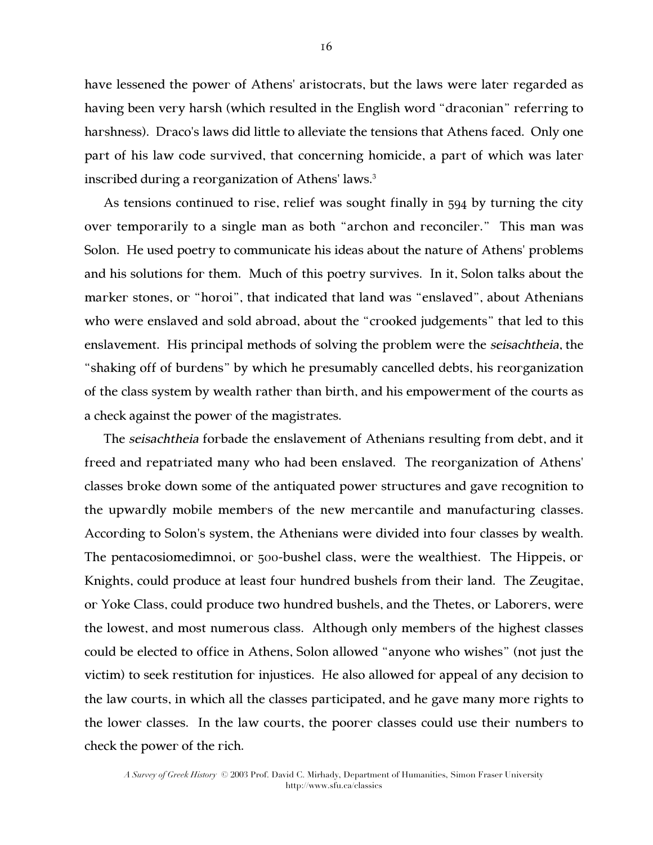have lessened the power of Athens' aristocrats, but the laws were later regarded as having been very harsh (which resulted in the English word "draconian" referring to harshness). Draco's laws did little to alleviate the tensions that Athens faced. Only one part of his law code survived, that concerning homicide, a part of which was later inscribed during a reorganization of Athens' laws.<sup>3</sup>

As tensions continued to rise, relief was sought finally in 594 by turning the city over temporarily to a single man as both "archon and reconciler." This man was Solon. He used poetry to communicate his ideas about the nature of Athens' problems and his solutions for them. Much of this poetry survives. In it, Solon talks about the marker stones, or "horoi", that indicated that land was "enslaved", about Athenians who were enslaved and sold abroad, about the "crooked judgements" that led to this enslavement. His principal methods of solving the problem were the seisachtheia, the "shaking off of burdens" by which he presumably cancelled debts, his reorganization of the class system by wealth rather than birth, and his empowerment of the courts as a check against the power of the magistrates.

The seisachtheia forbade the enslavement of Athenians resulting from debt, and it freed and repatriated many who had been enslaved. The reorganization of Athens' classes broke down some of the antiquated power structures and gave recognition to the upwardly mobile members of the new mercantile and manufacturing classes. According to Solon's system, the Athenians were divided into four classes by wealth. The pentacosiomedimnoi, or 500-bushel class, were the wealthiest. The Hippeis, or Knights, could produce at least four hundred bushels from their land. The Zeugitae, or Yoke Class, could produce two hundred bushels, and the Thetes, or Laborers, were the lowest, and most numerous class. Although only members of the highest classes could be elected to office in Athens, Solon allowed "anyone who wishes" (not just the victim) to seek restitution for injustices. He also allowed for appeal of any decision to the law courts, in which all the classes participated, and he gave many more rights to the lower classes. In the law courts, the poorer classes could use their numbers to check the power of the rich.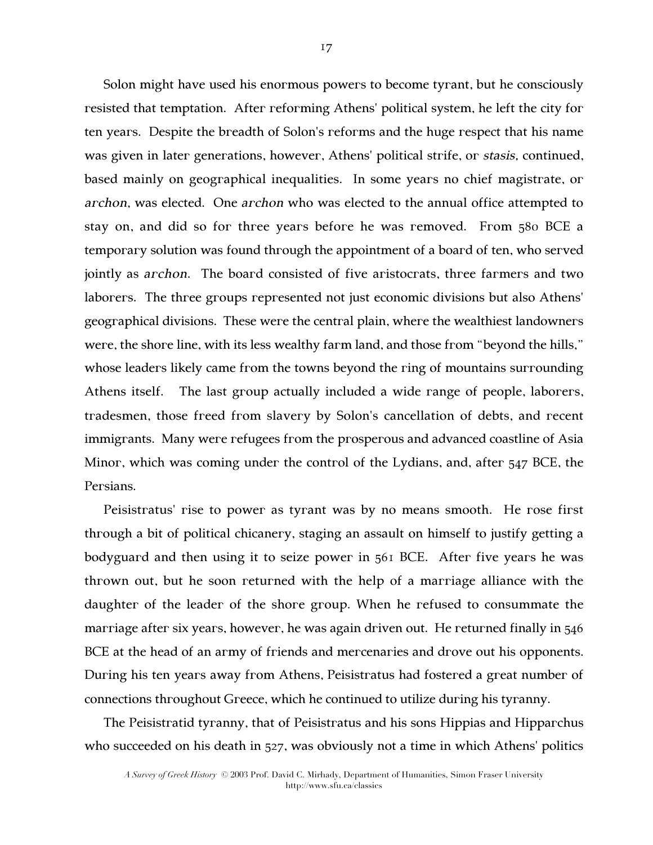Solon might have used his enormous powers to become tyrant, but he consciously resisted that temptation. After reforming Athens' political system, he left the city for ten years. Despite the breadth of Solon's reforms and the huge respect that his name was given in later generations, however, Athens' political strife, or stasis, continued, based mainly on geographical inequalities. In some years no chief magistrate, or archon, was elected. One archon who was elected to the annual office attempted to stay on, and did so for three years before he was removed. From 580 BCE a temporary solution was found through the appointment of a board of ten, who served jointly as archon. The board consisted of five aristocrats, three farmers and two laborers. The three groups represented not just economic divisions but also Athens' geographical divisions. These were the central plain, where the wealthiest landowners were, the shore line, with its less wealthy farm land, and those from "beyond the hills," whose leaders likely came from the towns beyond the ring of mountains surrounding Athens itself. The last group actually included a wide range of people, laborers, tradesmen, those freed from slavery by Solon's cancellation of debts, and recent immigrants. Many were refugees from the prosperous and advanced coastline of Asia Minor, which was coming under the control of the Lydians, and, after 547 BCE, the Persians.

Peisistratus' rise to power as tyrant was by no means smooth. He rose first through a bit of political chicanery, staging an assault on himself to justify getting a bodyguard and then using it to seize power in 561 BCE. After five years he was thrown out, but he soon returned with the help of a marriage alliance with the daughter of the leader of the shore group. When he refused to consummate the marriage after six years, however, he was again driven out. He returned finally in 546 BCE at the head of an army of friends and mercenaries and drove out his opponents. During his ten years away from Athens, Peisistratus had fostered a great number of connections throughout Greece, which he continued to utilize during his tyranny.

The Peisistratid tyranny, that of Peisistratus and his sons Hippias and Hipparchus who succeeded on his death in 527, was obviously not a time in which Athens' politics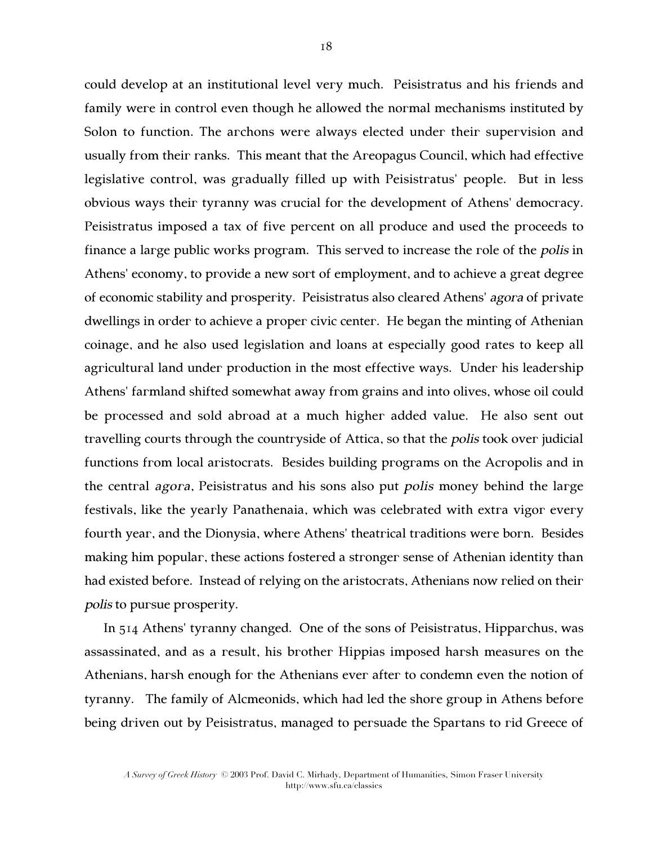could develop at an institutional level very much. Peisistratus and his friends and family were in control even though he allowed the normal mechanisms instituted by Solon to function. The archons were always elected under their supervision and usually from their ranks. This meant that the Areopagus Council, which had effective legislative control, was gradually filled up with Peisistratus' people. But in less obvious ways their tyranny was crucial for the development of Athens' democracy. Peisistratus imposed a tax of five percent on all produce and used the proceeds to finance a large public works program. This served to increase the role of the *polis* in Athens' economy, to provide a new sort of employment, and to achieve a great degree of economic stability and prosperity. Peisistratus also cleared Athens' agora of private dwellings in order to achieve a proper civic center. He began the minting of Athenian coinage, and he also used legislation and loans at especially good rates to keep all agricultural land under production in the most effective ways. Under his leadership Athens' farmland shifted somewhat away from grains and into olives, whose oil could be processed and sold abroad at a much higher added value. He also sent out travelling courts through the countryside of Attica, so that the polis took over judicial functions from local aristocrats. Besides building programs on the Acropolis and in the central *agora*, Peisistratus and his sons also put *polis* money behind the large festivals, like the yearly Panathenaia, which was celebrated with extra vigor every fourth year, and the Dionysia, where Athens' theatrical traditions were born. Besides making him popular, these actions fostered a stronger sense of Athenian identity than had existed before. Instead of relying on the aristocrats, Athenians now relied on their polis to pursue prosperity.

In 514 Athens' tyranny changed. One of the sons of Peisistratus, Hipparchus, was assassinated, and as a result, his brother Hippias imposed harsh measures on the Athenians, harsh enough for the Athenians ever after to condemn even the notion of tyranny. The family of Alcmeonids, which had led the shore group in Athens before being driven out by Peisistratus, managed to persuade the Spartans to rid Greece of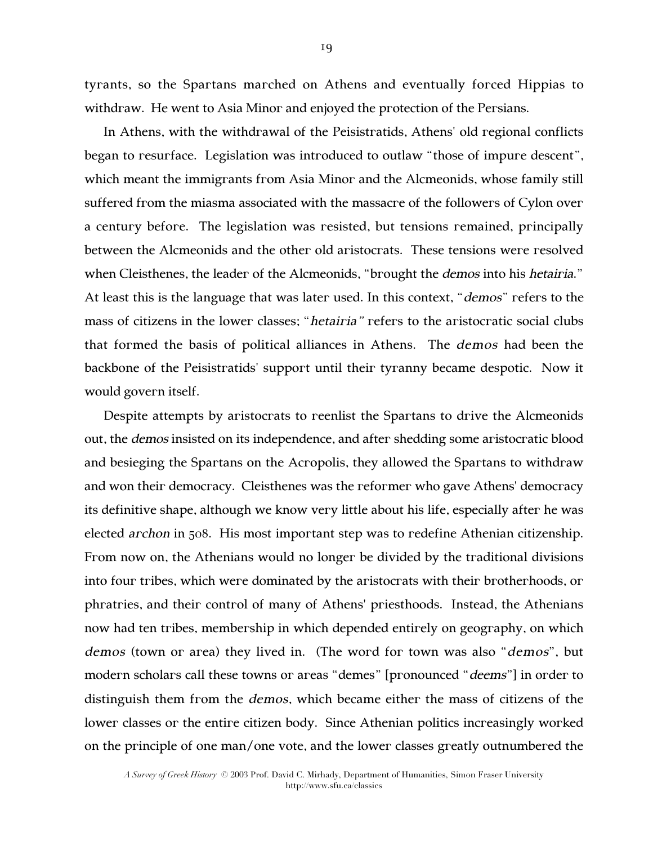tyrants, so the Spartans marched on Athens and eventually forced Hippias to withdraw. He went to Asia Minor and enjoyed the protection of the Persians.

In Athens, with the withdrawal of the Peisistratids, Athens' old regional conflicts began to resurface. Legislation was introduced to outlaw "those of impure descent", which meant the immigrants from Asia Minor and the Alcmeonids, whose family still suffered from the miasma associated with the massacre of the followers of Cylon over a century before. The legislation was resisted, but tensions remained, principally between the Alcmeonids and the other old aristocrats. These tensions were resolved when Cleisthenes, the leader of the Alcmeonids, "brought the *demos* into his *hetairia*." At least this is the language that was later used. In this context, "*demos*" refers to the mass of citizens in the lower classes; "hetairia" refers to the aristocratic social clubs that formed the basis of political alliances in Athens. The demos had been the backbone of the Peisistratids' support until their tyranny became despotic. Now it would govern itself.

Despite attempts by aristocrats to reenlist the Spartans to drive the Alcmeonids out, the demos insisted on its independence, and after shedding some aristocratic blood and besieging the Spartans on the Acropolis, they allowed the Spartans to withdraw and won their democracy. Cleisthenes was the reformer who gave Athens' democracy its definitive shape, although we know very little about his life, especially after he was elected archon in 508. His most important step was to redefine Athenian citizenship. From now on, the Athenians would no longer be divided by the traditional divisions into four tribes, which were dominated by the aristocrats with their brotherhoods, or phratries, and their control of many of Athens' priesthoods. Instead, the Athenians now had ten tribes, membership in which depended entirely on geography, on which demos (town or area) they lived in. (The word for town was also "demos", but modern scholars call these towns or areas "demes" [pronounced "deems"] in order to distinguish them from the demos, which became either the mass of citizens of the lower classes or the entire citizen body. Since Athenian politics increasingly worked on the principle of one man/one vote, and the lower classes greatly outnumbered the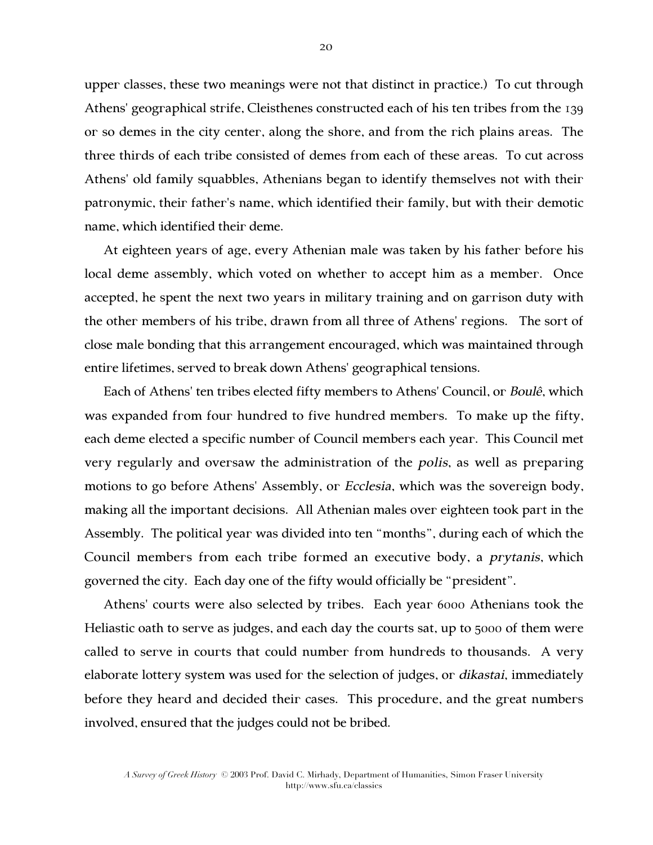upper classes, these two meanings were not that distinct in practice.) To cut through Athens' geographical strife, Cleisthenes constructed each of his ten tribes from the 139 or so demes in the city center, along the shore, and from the rich plains areas. The three thirds of each tribe consisted of demes from each of these areas. To cut across Athens' old family squabbles, Athenians began to identify themselves not with their patronymic, their father's name, which identified their family, but with their demotic name, which identified their deme.

At eighteen years of age, every Athenian male was taken by his father before his local deme assembly, which voted on whether to accept him as a member. Once accepted, he spent the next two years in military training and on garrison duty with the other members of his tribe, drawn from all three of Athens' regions. The sort of close male bonding that this arrangement encouraged, which was maintained through entire lifetimes, served to break down Athens' geographical tensions.

Each of Athens' ten tribes elected fifty members to Athens' Council, or Boulê, which was expanded from four hundred to five hundred members. To make up the fifty, each deme elected a specific number of Council members each year. This Council met very regularly and oversaw the administration of the *polis*, as well as preparing motions to go before Athens' Assembly, or *Ecclesia*, which was the sovereign body, making all the important decisions. All Athenian males over eighteen took part in the Assembly. The political year was divided into ten "months", during each of which the Council members from each tribe formed an executive body, a prytanis, which governed the city. Each day one of the fifty would officially be "president".

Athens' courts were also selected by tribes. Each year 6000 Athenians took the Heliastic oath to serve as judges, and each day the courts sat, up to 5000 of them were called to serve in courts that could number from hundreds to thousands. A very elaborate lottery system was used for the selection of judges, or dikastai, immediately before they heard and decided their cases. This procedure, and the great numbers involved, ensured that the judges could not be bribed.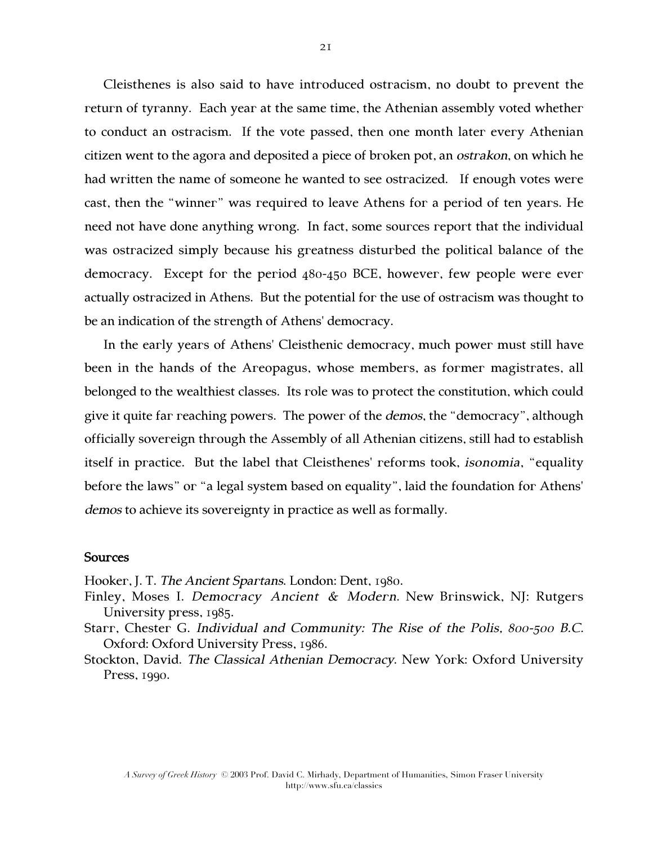Cleisthenes is also said to have introduced ostracism, no doubt to prevent the return of tyranny. Each year at the same time, the Athenian assembly voted whether to conduct an ostracism. If the vote passed, then one month later every Athenian citizen went to the agora and deposited a piece of broken pot, an ostrakon, on which he had written the name of someone he wanted to see ostracized. If enough votes were cast, then the "winner" was required to leave Athens for a period of ten years. He need not have done anything wrong. In fact, some sources report that the individual was ostracized simply because his greatness disturbed the political balance of the democracy. Except for the period 480-450 BCE, however, few people were ever actually ostracized in Athens. But the potential for the use of ostracism was thought to be an indication of the strength of Athens' democracy.

In the early years of Athens' Cleisthenic democracy, much power must still have been in the hands of the Areopagus, whose members, as former magistrates, all belonged to the wealthiest classes. Its role was to protect the constitution, which could give it quite far reaching powers. The power of the *demos*, the "democracy", although officially sovereign through the Assembly of all Athenian citizens, still had to establish itself in practice. But the label that Cleisthenes' reforms took, isonomia, "equality before the laws" or "a legal system based on equality", laid the foundation for Athens' demos to achieve its sovereignty in practice as well as formally.

#### **Sources**

Hooker, J. T. The Ancient Spartans. London: Dent, 1980.

- Finley, Moses I. Democracy Ancient & Modern. New Brinswick, NJ: Rutgers University press, 1985.
- Starr, Chester G. Individual and Community: The Rise of the Polis, 800-500 B.C. Oxford: Oxford University Press, 1986.
- Stockton, David. The Classical Athenian Democracy. New York: Oxford University Press, 1990.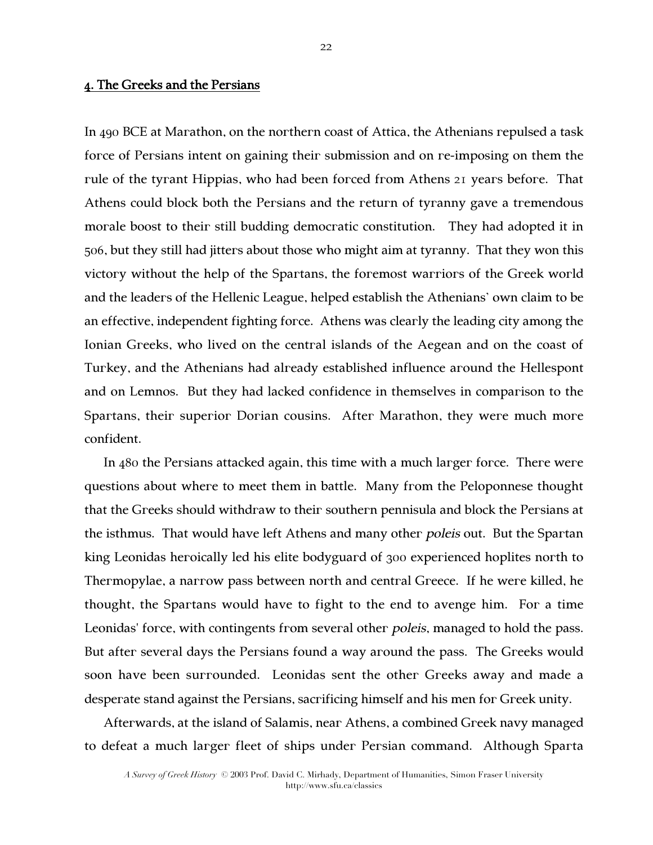# 4. The Greeks and the Persians

In 490 BCE at Marathon, on the northern coast of Attica, the Athenians repulsed a task force of Persians intent on gaining their submission and on re-imposing on them the rule of the tyrant Hippias, who had been forced from Athens 21 years before. That Athens could block both the Persians and the return of tyranny gave a tremendous morale boost to their still budding democratic constitution. They had adopted it in 506, but they still had jitters about those who might aim at tyranny. That they won this victory without the help of the Spartans, the foremost warriors of the Greek world and the leaders of the Hellenic League, helped establish the Athenians' own claim to be an effective, independent fighting force. Athens was clearly the leading city among the Ionian Greeks, who lived on the central islands of the Aegean and on the coast of Turkey, and the Athenians had already established influence around the Hellespont and on Lemnos. But they had lacked confidence in themselves in comparison to the Spartans, their superior Dorian cousins. After Marathon, they were much more confident.

In 480 the Persians attacked again, this time with a much larger force. There were questions about where to meet them in battle. Many from the Peloponnese thought that the Greeks should withdraw to their southern pennisula and block the Persians at the isthmus. That would have left Athens and many other *poleis* out. But the Spartan king Leonidas heroically led his elite bodyguard of 300 experienced hoplites north to Thermopylae, a narrow pass between north and central Greece. If he were killed, he thought, the Spartans would have to fight to the end to avenge him. For a time Leonidas' force, with contingents from several other *poleis*, managed to hold the pass. But after several days the Persians found a way around the pass. The Greeks would soon have been surrounded. Leonidas sent the other Greeks away and made a desperate stand against the Persians, sacrificing himself and his men for Greek unity.

Afterwards, at the island of Salamis, near Athens, a combined Greek navy managed to defeat a much larger fleet of ships under Persian command. Although Sparta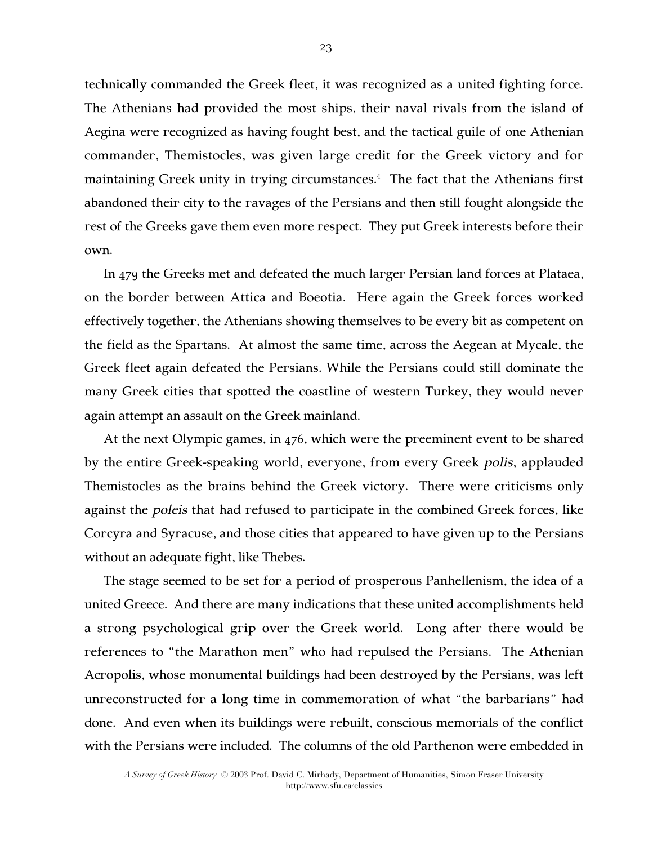technically commanded the Greek fleet, it was recognized as a united fighting force. The Athenians had provided the most ships, their naval rivals from the island of Aegina were recognized as having fought best, and the tactical guile of one Athenian commander, Themistocles, was given large credit for the Greek victory and for maintaining Greek unity in trying circumstances.4 The fact that the Athenians first abandoned their city to the ravages of the Persians and then still fought alongside the rest of the Greeks gave them even more respect. They put Greek interests before their own.

In 479 the Greeks met and defeated the much larger Persian land forces at Plataea, on the border between Attica and Boeotia. Here again the Greek forces worked effectively together, the Athenians showing themselves to be every bit as competent on the field as the Spartans. At almost the same time, across the Aegean at Mycale, the Greek fleet again defeated the Persians. While the Persians could still dominate the many Greek cities that spotted the coastline of western Turkey, they would never again attempt an assault on the Greek mainland.

At the next Olympic games, in 476, which were the preeminent event to be shared by the entire Greek-speaking world, everyone, from every Greek polis, applauded Themistocles as the brains behind the Greek victory. There were criticisms only against the *poleis* that had refused to participate in the combined Greek forces, like Corcyra and Syracuse, and those cities that appeared to have given up to the Persians without an adequate fight, like Thebes.

The stage seemed to be set for a period of prosperous Panhellenism, the idea of a united Greece. And there are many indications that these united accomplishments held a strong psychological grip over the Greek world. Long after there would be references to "the Marathon men" who had repulsed the Persians. The Athenian Acropolis, whose monumental buildings had been destroyed by the Persians, was left unreconstructed for a long time in commemoration of what "the barbarians" had done. And even when its buildings were rebuilt, conscious memorials of the conflict with the Persians were included. The columns of the old Parthenon were embedded in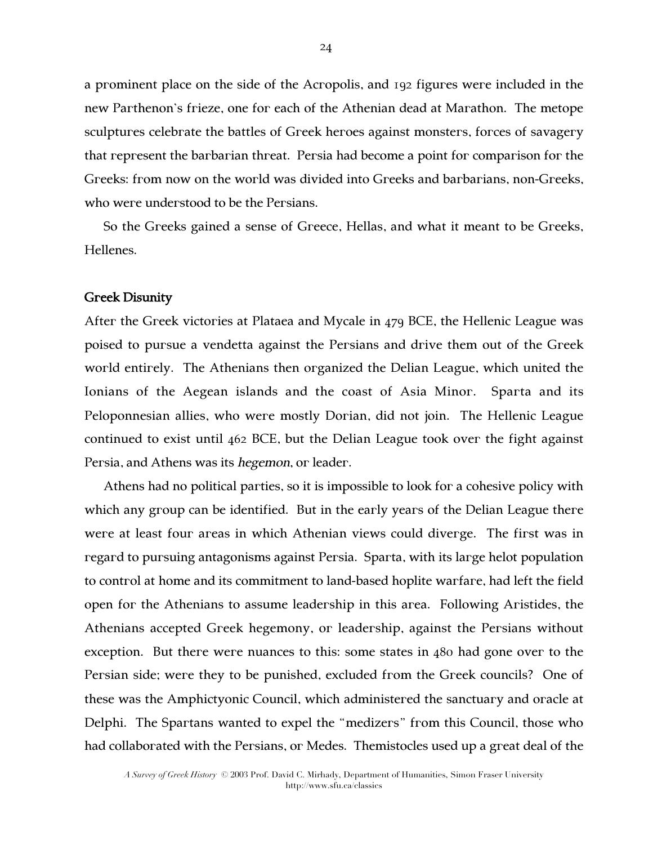a prominent place on the side of the Acropolis, and 192 figures were included in the new Parthenon's frieze, one for each of the Athenian dead at Marathon. The metope sculptures celebrate the battles of Greek heroes against monsters, forces of savagery that represent the barbarian threat. Persia had become a point for comparison for the Greeks: from now on the world was divided into Greeks and barbarians, non-Greeks, who were understood to be the Persians.

So the Greeks gained a sense of Greece, Hellas, and what it meant to be Greeks, Hellenes.

#### Greek Disunity

After the Greek victories at Plataea and Mycale in 479 BCE, the Hellenic League was poised to pursue a vendetta against the Persians and drive them out of the Greek world entirely. The Athenians then organized the Delian League, which united the Ionians of the Aegean islands and the coast of Asia Minor. Sparta and its Peloponnesian allies, who were mostly Dorian, did not join. The Hellenic League continued to exist until 462 BCE, but the Delian League took over the fight against Persia, and Athens was its hegemon, or leader.

Athens had no political parties, so it is impossible to look for a cohesive policy with which any group can be identified. But in the early years of the Delian League there were at least four areas in which Athenian views could diverge. The first was in regard to pursuing antagonisms against Persia. Sparta, with its large helot population to control at home and its commitment to land-based hoplite warfare, had left the field open for the Athenians to assume leadership in this area. Following Aristides, the Athenians accepted Greek hegemony, or leadership, against the Persians without exception. But there were nuances to this: some states in 480 had gone over to the Persian side; were they to be punished, excluded from the Greek councils? One of these was the Amphictyonic Council, which administered the sanctuary and oracle at Delphi. The Spartans wanted to expel the "medizers" from this Council, those who had collaborated with the Persians, or Medes. Themistocles used up a great deal of the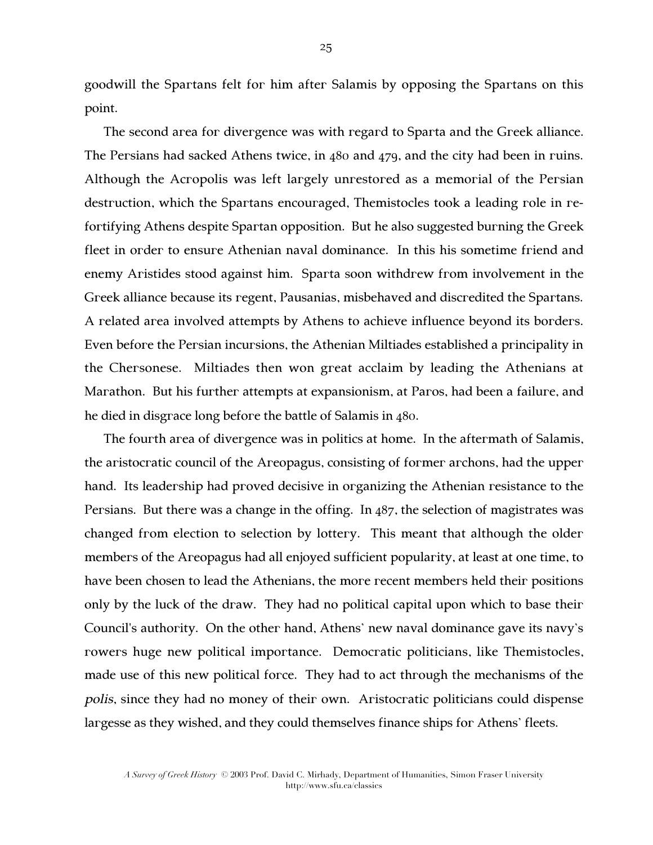goodwill the Spartans felt for him after Salamis by opposing the Spartans on this point.

The second area for divergence was with regard to Sparta and the Greek alliance. The Persians had sacked Athens twice, in 480 and 479, and the city had been in ruins. Although the Acropolis was left largely unrestored as a memorial of the Persian destruction, which the Spartans encouraged, Themistocles took a leading role in refortifying Athens despite Spartan opposition. But he also suggested burning the Greek fleet in order to ensure Athenian naval dominance. In this his sometime friend and enemy Aristides stood against him. Sparta soon withdrew from involvement in the Greek alliance because its regent, Pausanias, misbehaved and discredited the Spartans. A related area involved attempts by Athens to achieve influence beyond its borders. Even before the Persian incursions, the Athenian Miltiades established a principality in the Chersonese. Miltiades then won great acclaim by leading the Athenians at Marathon. But his further attempts at expansionism, at Paros, had been a failure, and he died in disgrace long before the battle of Salamis in 480.

The fourth area of divergence was in politics at home. In the aftermath of Salamis, the aristocratic council of the Areopagus, consisting of former archons, had the upper hand. Its leadership had proved decisive in organizing the Athenian resistance to the Persians. But there was a change in the offing. In 487, the selection of magistrates was changed from election to selection by lottery. This meant that although the older members of the Areopagus had all enjoyed sufficient popularity, at least at one time, to have been chosen to lead the Athenians, the more recent members held their positions only by the luck of the draw. They had no political capital upon which to base their Council's authority. On the other hand, Athens' new naval dominance gave its navy's rowers huge new political importance. Democratic politicians, like Themistocles, made use of this new political force. They had to act through the mechanisms of the polis, since they had no money of their own. Aristocratic politicians could dispense largesse as they wished, and they could themselves finance ships for Athens' fleets.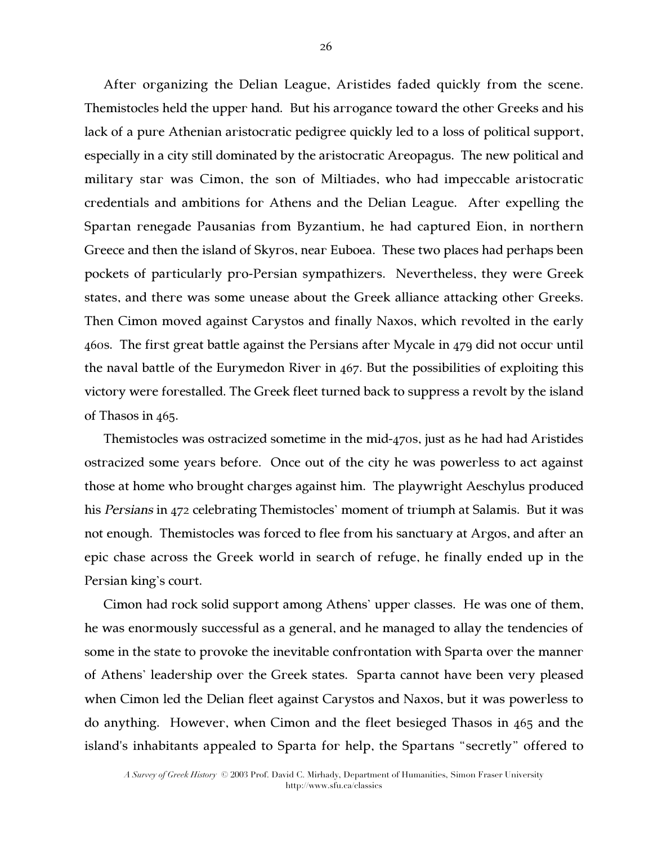After organizing the Delian League, Aristides faded quickly from the scene. Themistocles held the upper hand. But his arrogance toward the other Greeks and his lack of a pure Athenian aristocratic pedigree quickly led to a loss of political support, especially in a city still dominated by the aristocratic Areopagus. The new political and military star was Cimon, the son of Miltiades, who had impeccable aristocratic credentials and ambitions for Athens and the Delian League. After expelling the Spartan renegade Pausanias from Byzantium, he had captured Eion, in northern Greece and then the island of Skyros, near Euboea. These two places had perhaps been pockets of particularly pro-Persian sympathizers. Nevertheless, they were Greek states, and there was some unease about the Greek alliance attacking other Greeks. Then Cimon moved against Carystos and finally Naxos, which revolted in the early 460s. The first great battle against the Persians after Mycale in 479 did not occur until the naval battle of the Eurymedon River in 467. But the possibilities of exploiting this victory were forestalled. The Greek fleet turned back to suppress a revolt by the island of Thasos in 465.

Themistocles was ostracized sometime in the mid-470s, just as he had had Aristides ostracized some years before. Once out of the city he was powerless to act against those at home who brought charges against him. The playwright Aeschylus produced his *Persians* in 472 celebrating Themistocles' moment of triumph at Salamis. But it was not enough. Themistocles was forced to flee from his sanctuary at Argos, and after an epic chase across the Greek world in search of refuge, he finally ended up in the Persian king's court.

Cimon had rock solid support among Athens' upper classes. He was one of them, he was enormously successful as a general, and he managed to allay the tendencies of some in the state to provoke the inevitable confrontation with Sparta over the manner of Athens' leadership over the Greek states. Sparta cannot have been very pleased when Cimon led the Delian fleet against Carystos and Naxos, but it was powerless to do anything. However, when Cimon and the fleet besieged Thasos in 465 and the island's inhabitants appealed to Sparta for help, the Spartans "secretly" offered to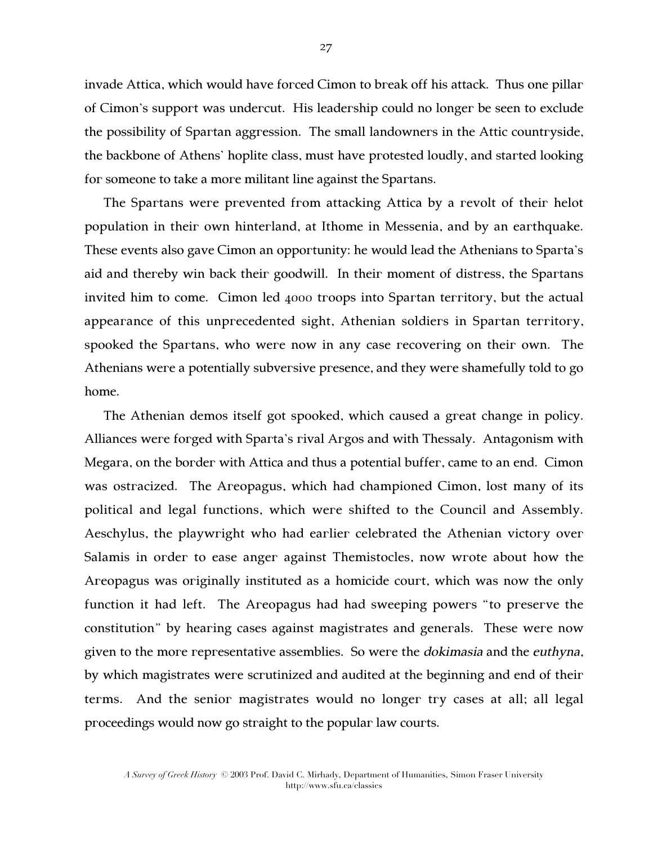invade Attica, which would have forced Cimon to break off his attack. Thus one pillar of Cimon's support was undercut. His leadership could no longer be seen to exclude the possibility of Spartan aggression. The small landowners in the Attic countryside, the backbone of Athens' hoplite class, must have protested loudly, and started looking for someone to take a more militant line against the Spartans.

The Spartans were prevented from attacking Attica by a revolt of their helot population in their own hinterland, at Ithome in Messenia, and by an earthquake. These events also gave Cimon an opportunity: he would lead the Athenians to Sparta's aid and thereby win back their goodwill. In their moment of distress, the Spartans invited him to come. Cimon led 4000 troops into Spartan territory, but the actual appearance of this unprecedented sight, Athenian soldiers in Spartan territory, spooked the Spartans, who were now in any case recovering on their own. The Athenians were a potentially subversive presence, and they were shamefully told to go home.

The Athenian demos itself got spooked, which caused a great change in policy. Alliances were forged with Sparta's rival Argos and with Thessaly. Antagonism with Megara, on the border with Attica and thus a potential buffer, came to an end. Cimon was ostracized. The Areopagus, which had championed Cimon, lost many of its political and legal functions, which were shifted to the Council and Assembly. Aeschylus, the playwright who had earlier celebrated the Athenian victory over Salamis in order to ease anger against Themistocles, now wrote about how the Areopagus was originally instituted as a homicide court, which was now the only function it had left. The Areopagus had had sweeping powers "to preserve the constitution" by hearing cases against magistrates and generals. These were now given to the more representative assemblies. So were the dokimasia and the euthyna, by which magistrates were scrutinized and audited at the beginning and end of their terms. And the senior magistrates would no longer try cases at all; all legal proceedings would now go straight to the popular law courts.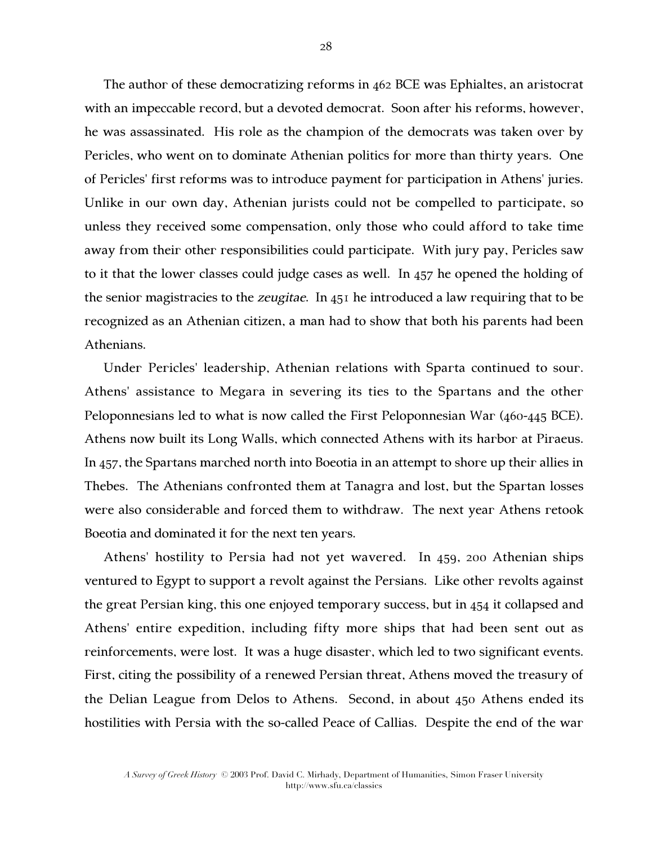The author of these democratizing reforms in 462 BCE was Ephialtes, an aristocrat with an impeccable record, but a devoted democrat. Soon after his reforms, however, he was assassinated. His role as the champion of the democrats was taken over by Pericles, who went on to dominate Athenian politics for more than thirty years. One of Pericles' first reforms was to introduce payment for participation in Athens' juries. Unlike in our own day, Athenian jurists could not be compelled to participate, so unless they received some compensation, only those who could afford to take time away from their other responsibilities could participate. With jury pay, Pericles saw to it that the lower classes could judge cases as well. In 457 he opened the holding of the senior magistracies to the zeugitae. In 451 he introduced a law requiring that to be recognized as an Athenian citizen, a man had to show that both his parents had been Athenians.

Under Pericles' leadership, Athenian relations with Sparta continued to sour. Athens' assistance to Megara in severing its ties to the Spartans and the other Peloponnesians led to what is now called the First Peloponnesian War (460-445 BCE). Athens now built its Long Walls, which connected Athens with its harbor at Piraeus. In 457, the Spartans marched north into Boeotia in an attempt to shore up their allies in Thebes. The Athenians confronted them at Tanagra and lost, but the Spartan losses were also considerable and forced them to withdraw. The next year Athens retook Boeotia and dominated it for the next ten years.

Athens' hostility to Persia had not yet wavered. In 459, 200 Athenian ships ventured to Egypt to support a revolt against the Persians. Like other revolts against the great Persian king, this one enjoyed temporary success, but in 454 it collapsed and Athens' entire expedition, including fifty more ships that had been sent out as reinforcements, were lost. It was a huge disaster, which led to two significant events. First, citing the possibility of a renewed Persian threat, Athens moved the treasury of the Delian League from Delos to Athens. Second, in about 450 Athens ended its hostilities with Persia with the so-called Peace of Callias. Despite the end of the war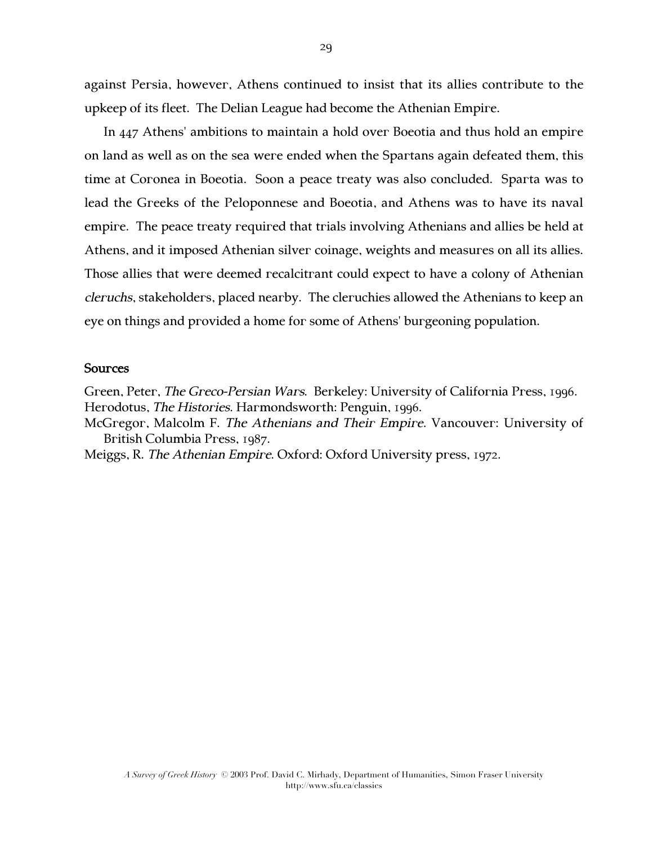against Persia, however, Athens continued to insist that its allies contribute to the upkeep of its fleet. The Delian League had become the Athenian Empire.

In 447 Athens' ambitions to maintain a hold over Boeotia and thus hold an empire on land as well as on the sea were ended when the Spartans again defeated them, this time at Coronea in Boeotia. Soon a peace treaty was also concluded. Sparta was to lead the Greeks of the Peloponnese and Boeotia, and Athens was to have its naval empire. The peace treaty required that trials involving Athenians and allies be held at Athens, and it imposed Athenian silver coinage, weights and measures on all its allies. Those allies that were deemed recalcitrant could expect to have a colony of Athenian cleruchs, stakeholders, placed nearby. The cleruchies allowed the Athenians to keep an eye on things and provided a home for some of Athens' burgeoning population.

#### **Sources**

Green, Peter, The Greco-Persian Wars. Berkeley: University of California Press, 1996. Herodotus, The Histories. Harmondsworth: Penguin, 1996.

McGregor, Malcolm F. The Athenians and Their Empire. Vancouver: University of British Columbia Press, 1987.

Meiggs, R. The Athenian Empire. Oxford: Oxford University press, 1972.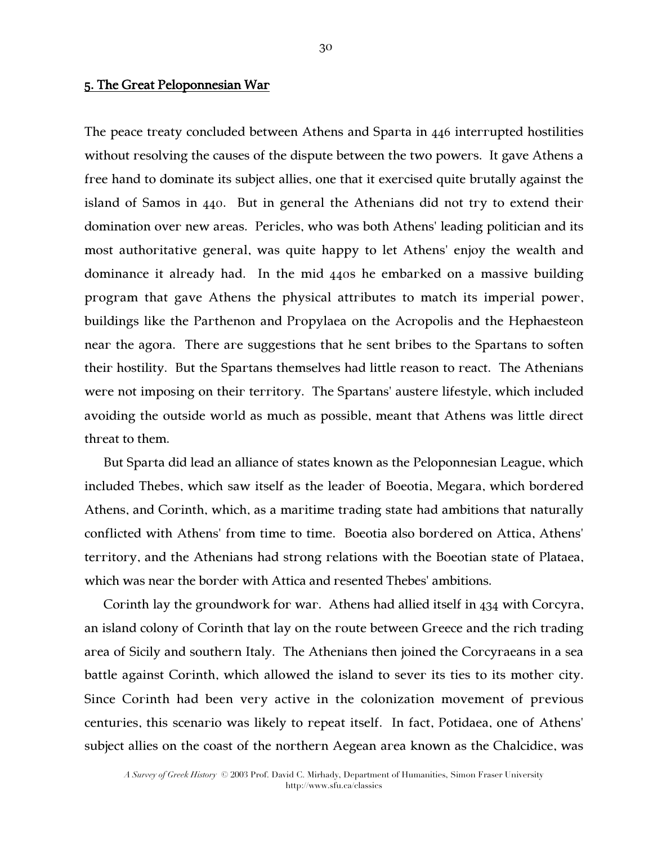# 5. The Great Peloponnesian War

The peace treaty concluded between Athens and Sparta in 446 interrupted hostilities without resolving the causes of the dispute between the two powers. It gave Athens a free hand to dominate its subject allies, one that it exercised quite brutally against the island of Samos in 440. But in general the Athenians did not try to extend their domination over new areas. Pericles, who was both Athens' leading politician and its most authoritative general, was quite happy to let Athens' enjoy the wealth and dominance it already had. In the mid 440s he embarked on a massive building program that gave Athens the physical attributes to match its imperial power, buildings like the Parthenon and Propylaea on the Acropolis and the Hephaesteon near the agora. There are suggestions that he sent bribes to the Spartans to soften their hostility. But the Spartans themselves had little reason to react. The Athenians were not imposing on their territory. The Spartans' austere lifestyle, which included avoiding the outside world as much as possible, meant that Athens was little direct threat to them.

But Sparta did lead an alliance of states known as the Peloponnesian League, which included Thebes, which saw itself as the leader of Boeotia, Megara, which bordered Athens, and Corinth, which, as a maritime trading state had ambitions that naturally conflicted with Athens' from time to time. Boeotia also bordered on Attica, Athens' territory, and the Athenians had strong relations with the Boeotian state of Plataea, which was near the border with Attica and resented Thebes' ambitions.

Corinth lay the groundwork for war. Athens had allied itself in 434 with Corcyra, an island colony of Corinth that lay on the route between Greece and the rich trading area of Sicily and southern Italy. The Athenians then joined the Corcyraeans in a sea battle against Corinth, which allowed the island to sever its ties to its mother city. Since Corinth had been very active in the colonization movement of previous centuries, this scenario was likely to repeat itself. In fact, Potidaea, one of Athens' subject allies on the coast of the northern Aegean area known as the Chalcidice, was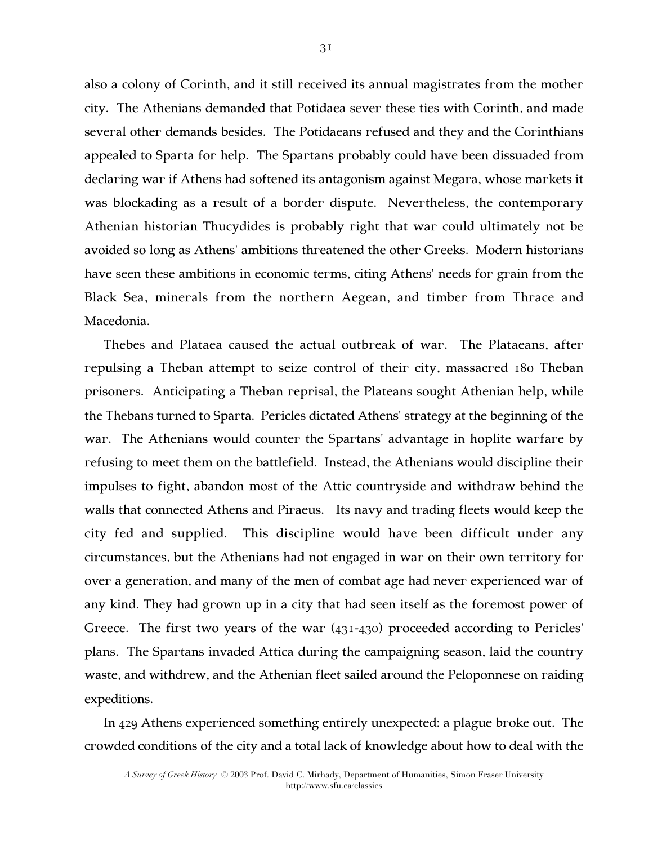also a colony of Corinth, and it still received its annual magistrates from the mother city. The Athenians demanded that Potidaea sever these ties with Corinth, and made several other demands besides. The Potidaeans refused and they and the Corinthians appealed to Sparta for help. The Spartans probably could have been dissuaded from declaring war if Athens had softened its antagonism against Megara, whose markets it was blockading as a result of a border dispute. Nevertheless, the contemporary Athenian historian Thucydides is probably right that war could ultimately not be avoided so long as Athens' ambitions threatened the other Greeks. Modern historians have seen these ambitions in economic terms, citing Athens' needs for grain from the Black Sea, minerals from the northern Aegean, and timber from Thrace and Macedonia.

Thebes and Plataea caused the actual outbreak of war. The Plataeans, after repulsing a Theban attempt to seize control of their city, massacred 180 Theban prisoners. Anticipating a Theban reprisal, the Plateans sought Athenian help, while the Thebans turned to Sparta. Pericles dictated Athens' strategy at the beginning of the war. The Athenians would counter the Spartans' advantage in hoplite warfare by refusing to meet them on the battlefield. Instead, the Athenians would discipline their impulses to fight, abandon most of the Attic countryside and withdraw behind the walls that connected Athens and Piraeus. Its navy and trading fleets would keep the city fed and supplied. This discipline would have been difficult under any circumstances, but the Athenians had not engaged in war on their own territory for over a generation, and many of the men of combat age had never experienced war of any kind. They had grown up in a city that had seen itself as the foremost power of Greece. The first two years of the war (431-430) proceeded according to Pericles' plans. The Spartans invaded Attica during the campaigning season, laid the country waste, and withdrew, and the Athenian fleet sailed around the Peloponnese on raiding expeditions.

In 429 Athens experienced something entirely unexpected: a plague broke out. The crowded conditions of the city and a total lack of knowledge about how to deal with the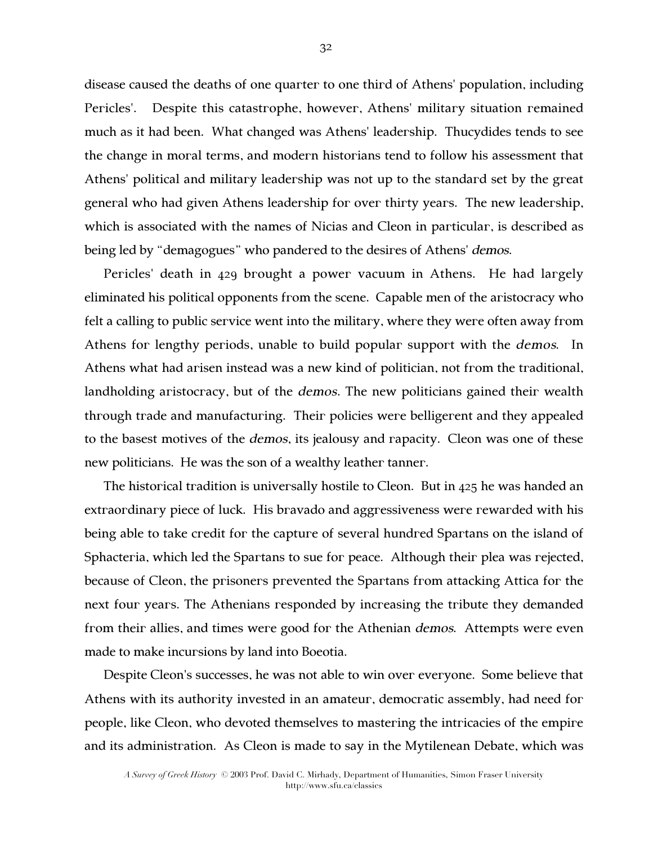disease caused the deaths of one quarter to one third of Athens' population, including Pericles'. Despite this catastrophe, however, Athens' military situation remained much as it had been. What changed was Athens' leadership. Thucydides tends to see the change in moral terms, and modern historians tend to follow his assessment that Athens' political and military leadership was not up to the standard set by the great general who had given Athens leadership for over thirty years. The new leadership, which is associated with the names of Nicias and Cleon in particular, is described as being led by "demagogues" who pandered to the desires of Athens' demos.

Pericles' death in 429 brought a power vacuum in Athens. He had largely eliminated his political opponents from the scene. Capable men of the aristocracy who felt a calling to public service went into the military, where they were often away from Athens for lengthy periods, unable to build popular support with the *demos*. In Athens what had arisen instead was a new kind of politician, not from the traditional, landholding aristocracy, but of the *demos*. The new politicians gained their wealth through trade and manufacturing. Their policies were belligerent and they appealed to the basest motives of the demos, its jealousy and rapacity. Cleon was one of these new politicians. He was the son of a wealthy leather tanner.

The historical tradition is universally hostile to Cleon. But in 425 he was handed an extraordinary piece of luck. His bravado and aggressiveness were rewarded with his being able to take credit for the capture of several hundred Spartans on the island of Sphacteria, which led the Spartans to sue for peace. Although their plea was rejected, because of Cleon, the prisoners prevented the Spartans from attacking Attica for the next four years. The Athenians responded by increasing the tribute they demanded from their allies, and times were good for the Athenian *demos*. Attempts were even made to make incursions by land into Boeotia.

Despite Cleon's successes, he was not able to win over everyone. Some believe that Athens with its authority invested in an amateur, democratic assembly, had need for people, like Cleon, who devoted themselves to mastering the intricacies of the empire and its administration. As Cleon is made to say in the Mytilenean Debate, which was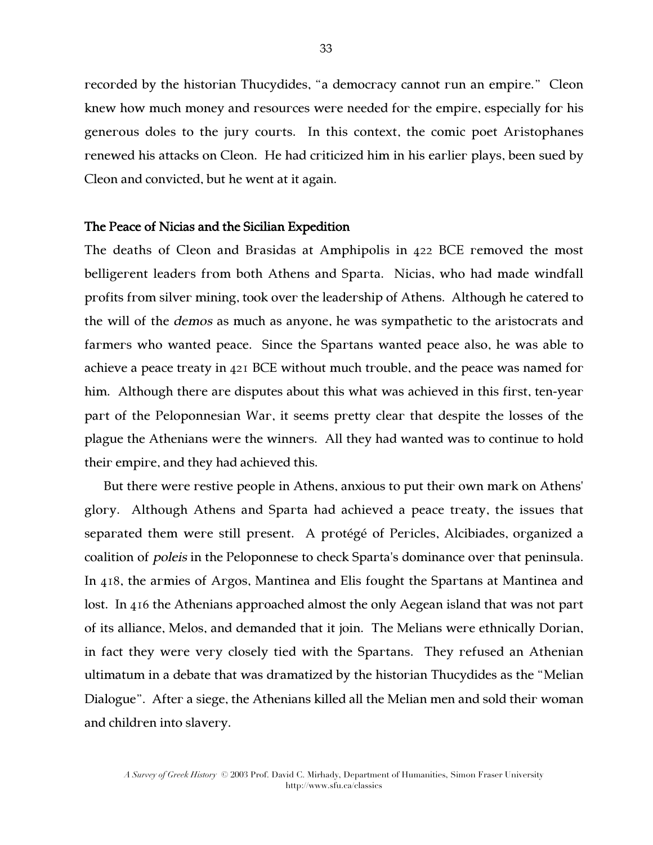recorded by the historian Thucydides, "a democracy cannot run an empire." Cleon knew how much money and resources were needed for the empire, especially for his generous doles to the jury courts. In this context, the comic poet Aristophanes renewed his attacks on Cleon. He had criticized him in his earlier plays, been sued by Cleon and convicted, but he went at it again.

#### The Peace of Nicias and the Sicilian Expedition

The deaths of Cleon and Brasidas at Amphipolis in 422 BCE removed the most belligerent leaders from both Athens and Sparta. Nicias, who had made windfall profits from silver mining, took over the leadership of Athens. Although he catered to the will of the *demos* as much as anyone, he was sympathetic to the aristocrats and farmers who wanted peace. Since the Spartans wanted peace also, he was able to achieve a peace treaty in 421 BCE without much trouble, and the peace was named for him. Although there are disputes about this what was achieved in this first, ten-year part of the Peloponnesian War, it seems pretty clear that despite the losses of the plague the Athenians were the winners. All they had wanted was to continue to hold their empire, and they had achieved this.

But there were restive people in Athens, anxious to put their own mark on Athens' glory. Although Athens and Sparta had achieved a peace treaty, the issues that separated them were still present. A protégé of Pericles, Alcibiades, organized a coalition of poleis in the Peloponnese to check Sparta's dominance over that peninsula. In 418, the armies of Argos, Mantinea and Elis fought the Spartans at Mantinea and lost. In 416 the Athenians approached almost the only Aegean island that was not part of its alliance, Melos, and demanded that it join. The Melians were ethnically Dorian, in fact they were very closely tied with the Spartans. They refused an Athenian ultimatum in a debate that was dramatized by the historian Thucydides as the "Melian Dialogue". After a siege, the Athenians killed all the Melian men and sold their woman and children into slavery.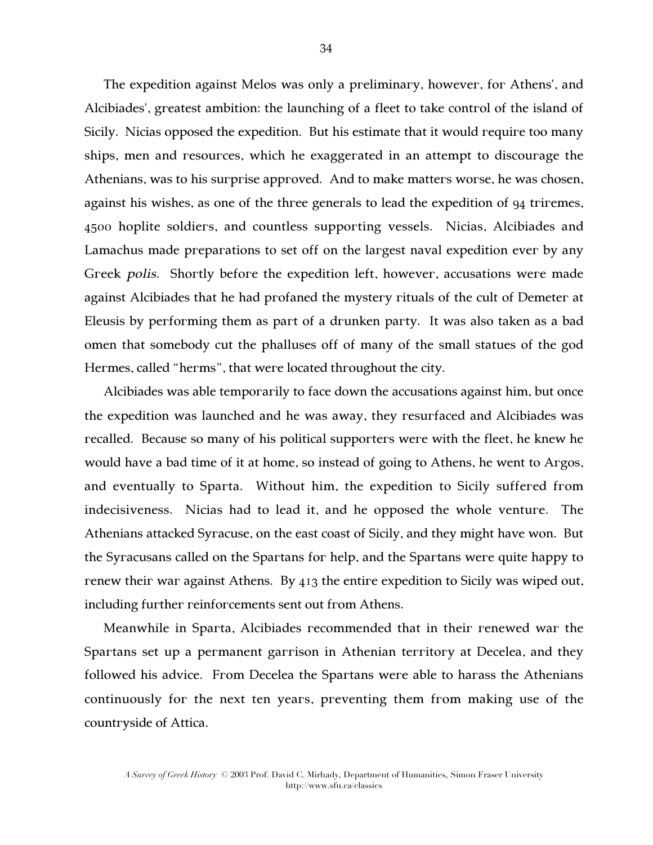The expedition against Melos was only a preliminary, however, for Athens', and Alcibiades', greatest ambition: the launching of a fleet to take control of the island of Sicily. Nicias opposed the expedition. But his estimate that it would require too many ships, men and resources, which he exaggerated in an attempt to discourage the Athenians, was to his surprise approved. And to make matters worse, he was chosen, against his wishes, as one of the three generals to lead the expedition of 94 triremes, 4500 hoplite soldiers, and countless supporting vessels. Nicias, Alcibiades and Lamachus made preparations to set off on the largest naval expedition ever by any Greek polis. Shortly before the expedition left, however, accusations were made against Alcibiades that he had profaned the mystery rituals of the cult of Demeter at Eleusis by performing them as part of a drunken party. It was also taken as a bad omen that somebody cut the phalluses off of many of the small statues of the god Hermes, called "herms", that were located throughout the city.

Alcibiades was able temporarily to face down the accusations against him, but once the expedition was launched and he was away, they resurfaced and Alcibiades was recalled. Because so many of his political supporters were with the fleet, he knew he would have a bad time of it at home, so instead of going to Athens, he went to Argos, and eventually to Sparta. Without him, the expedition to Sicily suffered from indecisiveness. Nicias had to lead it, and he opposed the whole venture. The Athenians attacked Syracuse, on the east coast of Sicily, and they might have won. But the Syracusans called on the Spartans for help, and the Spartans were quite happy to renew their war against Athens. By 413 the entire expedition to Sicily was wiped out, including further reinforcements sent out from Athens.

Meanwhile in Sparta, Alcibiades recommended that in their renewed war the Spartans set up a permanent garrison in Athenian territory at Decelea, and they followed his advice. From Decelea the Spartans were able to harass the Athenians continuously for the next ten years, preventing them from making use of the countryside of Attica.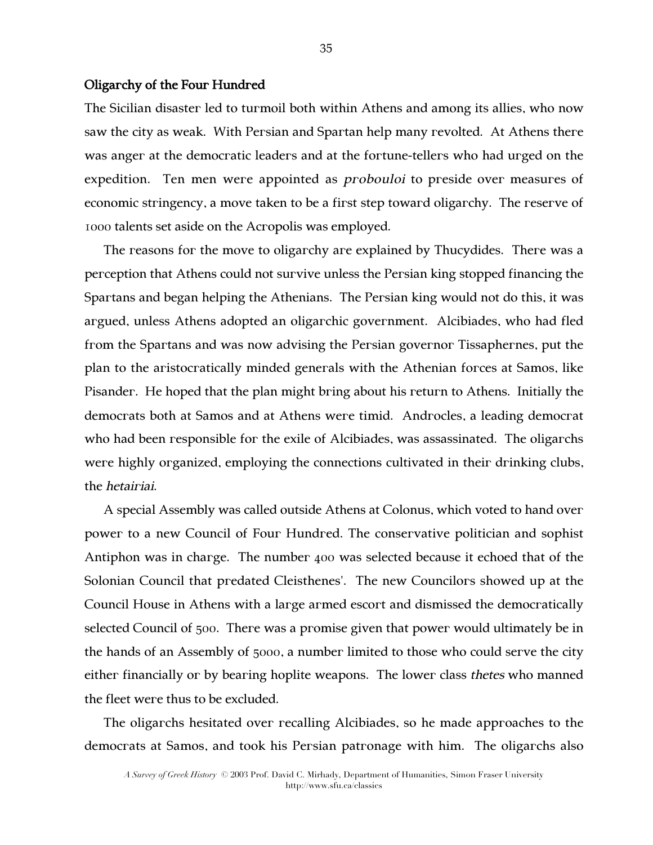### Oligarchy of the Four Hundred

The Sicilian disaster led to turmoil both within Athens and among its allies, who now saw the city as weak. With Persian and Spartan help many revolted. At Athens there was anger at the democratic leaders and at the fortune-tellers who had urged on the expedition. Ten men were appointed as *probouloi* to preside over measures of economic stringency, a move taken to be a first step toward oligarchy. The reserve of 1000 talents set aside on the Acropolis was employed.

The reasons for the move to oligarchy are explained by Thucydides. There was a perception that Athens could not survive unless the Persian king stopped financing the Spartans and began helping the Athenians. The Persian king would not do this, it was argued, unless Athens adopted an oligarchic government. Alcibiades, who had fled from the Spartans and was now advising the Persian governor Tissaphernes, put the plan to the aristocratically minded generals with the Athenian forces at Samos, like Pisander. He hoped that the plan might bring about his return to Athens. Initially the democrats both at Samos and at Athens were timid. Androcles, a leading democrat who had been responsible for the exile of Alcibiades, was assassinated. The oligarchs were highly organized, employing the connections cultivated in their drinking clubs, the hetairiai.

A special Assembly was called outside Athens at Colonus, which voted to hand over power to a new Council of Four Hundred. The conservative politician and sophist Antiphon was in charge. The number 400 was selected because it echoed that of the Solonian Council that predated Cleisthenes'. The new Councilors showed up at the Council House in Athens with a large armed escort and dismissed the democratically selected Council of 500. There was a promise given that power would ultimately be in the hands of an Assembly of 5000, a number limited to those who could serve the city either financially or by bearing hoplite weapons. The lower class thetes who manned the fleet were thus to be excluded.

The oligarchs hesitated over recalling Alcibiades, so he made approaches to the democrats at Samos, and took his Persian patronage with him. The oligarchs also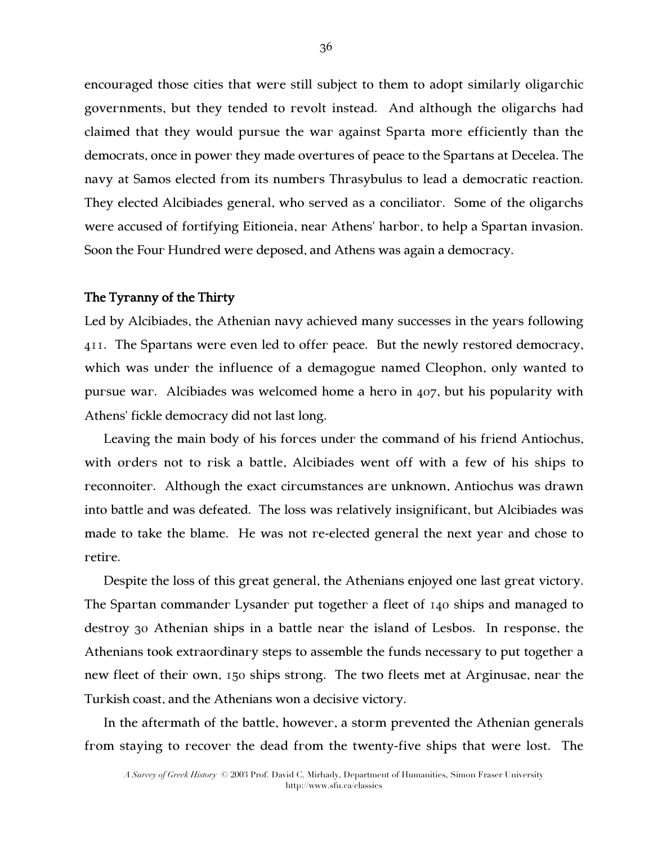encouraged those cities that were still subject to them to adopt similarly oligarchic governments, but they tended to revolt instead. And although the oligarchs had claimed that they would pursue the war against Sparta more efficiently than the democrats, once in power they made overtures of peace to the Spartans at Decelea. The navy at Samos elected from its numbers Thrasybulus to lead a democratic reaction. They elected Alcibiades general, who served as a conciliator. Some of the oligarchs were accused of fortifying Eitioneia, near Athens' harbor, to help a Spartan invasion. Soon the Four Hundred were deposed, and Athens was again a democracy.

#### The Tyranny of the Thirty

Led by Alcibiades, the Athenian navy achieved many successes in the years following 411. The Spartans were even led to offer peace. But the newly restored democracy, which was under the influence of a demagogue named Cleophon, only wanted to pursue war. Alcibiades was welcomed home a hero in 407, but his popularity with Athens' fickle democracy did not last long.

Leaving the main body of his forces under the command of his friend Antiochus, with orders not to risk a battle, Alcibiades went off with a few of his ships to reconnoiter. Although the exact circumstances are unknown, Antiochus was drawn into battle and was defeated. The loss was relatively insignificant, but Alcibiades was made to take the blame. He was not re-elected general the next year and chose to retire.

Despite the loss of this great general, the Athenians enjoyed one last great victory. The Spartan commander Lysander put together a fleet of 140 ships and managed to destroy 30 Athenian ships in a battle near the island of Lesbos. In response, the Athenians took extraordinary steps to assemble the funds necessary to put together a new fleet of their own, 150 ships strong. The two fleets met at Arginusae, near the Turkish coast, and the Athenians won a decisive victory.

In the aftermath of the battle, however, a storm prevented the Athenian generals from staying to recover the dead from the twenty-five ships that were lost. The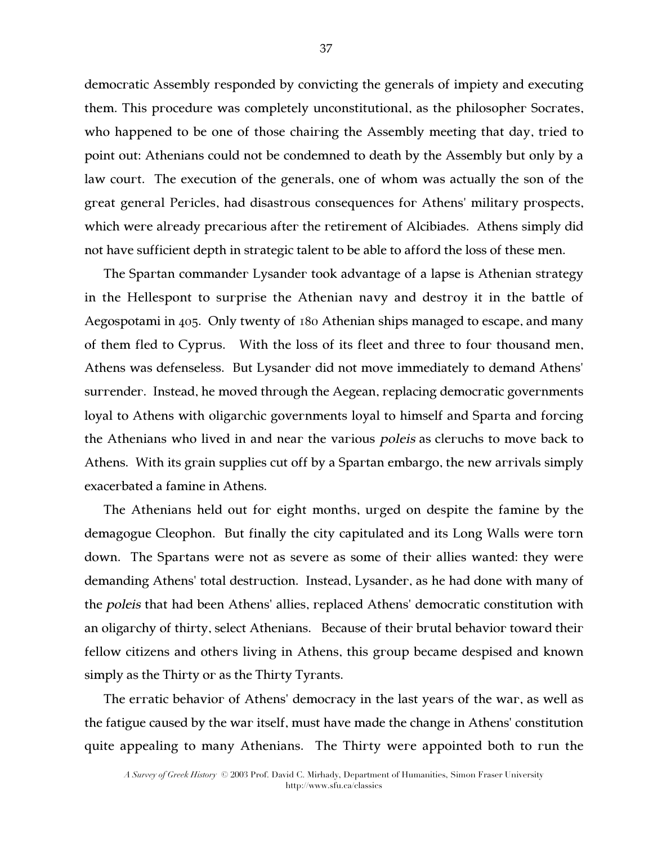democratic Assembly responded by convicting the generals of impiety and executing them. This procedure was completely unconstitutional, as the philosopher Socrates, who happened to be one of those chairing the Assembly meeting that day, tried to point out: Athenians could not be condemned to death by the Assembly but only by a law court. The execution of the generals, one of whom was actually the son of the great general Pericles, had disastrous consequences for Athens' military prospects, which were already precarious after the retirement of Alcibiades. Athens simply did not have sufficient depth in strategic talent to be able to afford the loss of these men.

The Spartan commander Lysander took advantage of a lapse is Athenian strategy in the Hellespont to surprise the Athenian navy and destroy it in the battle of Aegospotami in 405. Only twenty of 180 Athenian ships managed to escape, and many of them fled to Cyprus. With the loss of its fleet and three to four thousand men, Athens was defenseless. But Lysander did not move immediately to demand Athens' surrender. Instead, he moved through the Aegean, replacing democratic governments loyal to Athens with oligarchic governments loyal to himself and Sparta and forcing the Athenians who lived in and near the various poleis as cleruchs to move back to Athens. With its grain supplies cut off by a Spartan embargo, the new arrivals simply exacerbated a famine in Athens.

The Athenians held out for eight months, urged on despite the famine by the demagogue Cleophon. But finally the city capitulated and its Long Walls were torn down. The Spartans were not as severe as some of their allies wanted: they were demanding Athens' total destruction. Instead, Lysander, as he had done with many of the *poleis* that had been Athens' allies, replaced Athens' democratic constitution with an oligarchy of thirty, select Athenians. Because of their brutal behavior toward their fellow citizens and others living in Athens, this group became despised and known simply as the Thirty or as the Thirty Tyrants.

The erratic behavior of Athens' democracy in the last years of the war, as well as the fatigue caused by the war itself, must have made the change in Athens' constitution quite appealing to many Athenians. The Thirty were appointed both to run the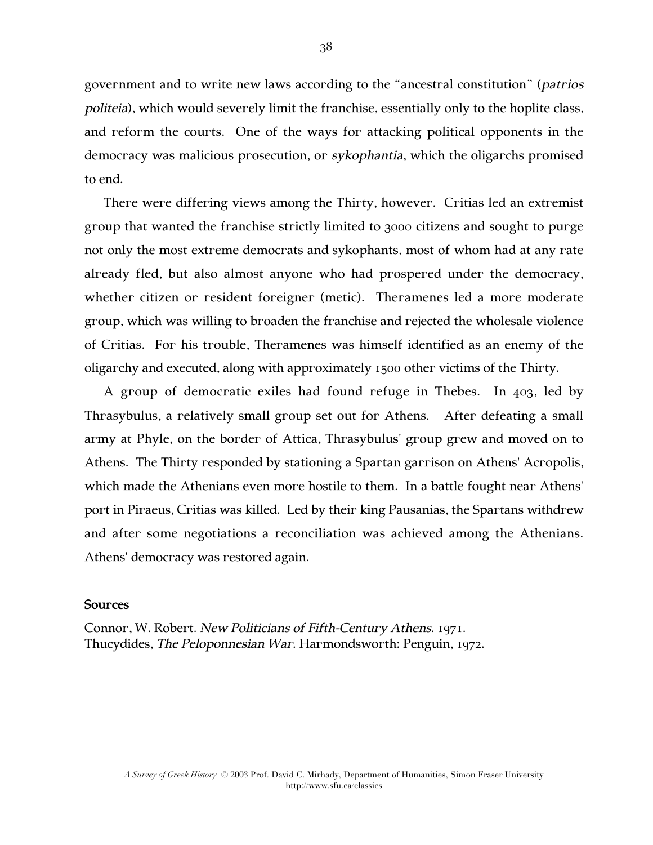government and to write new laws according to the "ancestral constitution" (patrios politeia), which would severely limit the franchise, essentially only to the hoplite class, and reform the courts. One of the ways for attacking political opponents in the democracy was malicious prosecution, or sykophantia, which the oligarchs promised to end.

There were differing views among the Thirty, however. Critias led an extremist group that wanted the franchise strictly limited to 3000 citizens and sought to purge not only the most extreme democrats and sykophants, most of whom had at any rate already fled, but also almost anyone who had prospered under the democracy, whether citizen or resident foreigner (metic). Theramenes led a more moderate group, which was willing to broaden the franchise and rejected the wholesale violence of Critias. For his trouble, Theramenes was himself identified as an enemy of the oligarchy and executed, along with approximately 1500 other victims of the Thirty.

A group of democratic exiles had found refuge in Thebes. In 403, led by Thrasybulus, a relatively small group set out for Athens. After defeating a small army at Phyle, on the border of Attica, Thrasybulus' group grew and moved on to Athens. The Thirty responded by stationing a Spartan garrison on Athens' Acropolis, which made the Athenians even more hostile to them. In a battle fought near Athens' port in Piraeus, Critias was killed. Led by their king Pausanias, the Spartans withdrew and after some negotiations a reconciliation was achieved among the Athenians. Athens' democracy was restored again.

## **Sources**

Connor, W. Robert. New Politicians of Fifth-Century Athens. 1971. Thucydides, The Peloponnesian War. Harmondsworth: Penguin, 1972.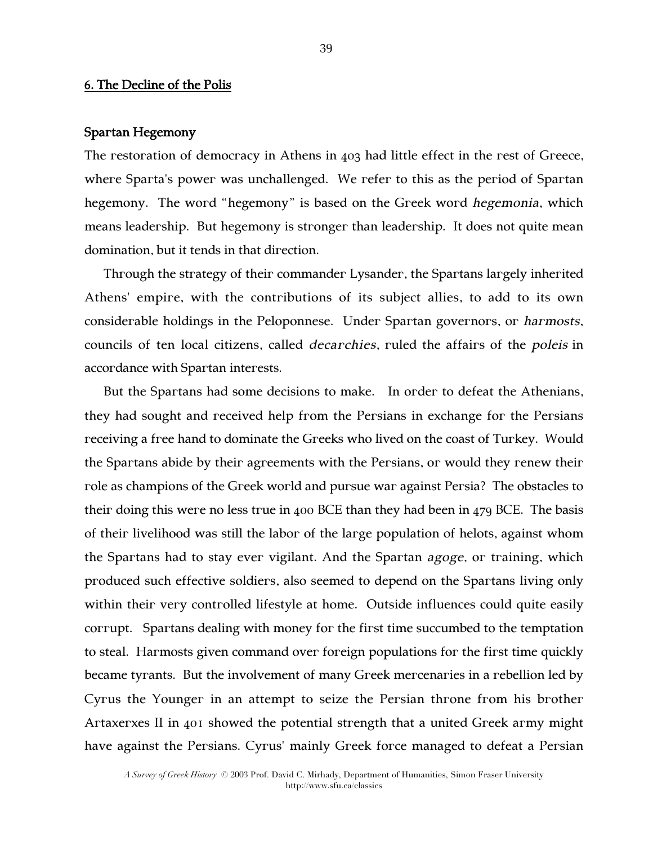## 6. The Decline of the Polis

### Spartan Hegemony

The restoration of democracy in Athens in 403 had little effect in the rest of Greece, where Sparta's power was unchallenged. We refer to this as the period of Spartan hegemony. The word "hegemony" is based on the Greek word *hegemonia*, which means leadership. But hegemony is stronger than leadership. It does not quite mean domination, but it tends in that direction.

Through the strategy of their commander Lysander, the Spartans largely inherited Athens' empire, with the contributions of its subject allies, to add to its own considerable holdings in the Peloponnese. Under Spartan governors, or harmosts, councils of ten local citizens, called decarchies, ruled the affairs of the poleis in accordance with Spartan interests.

But the Spartans had some decisions to make. In order to defeat the Athenians, they had sought and received help from the Persians in exchange for the Persians receiving a free hand to dominate the Greeks who lived on the coast of Turkey. Would the Spartans abide by their agreements with the Persians, or would they renew their role as champions of the Greek world and pursue war against Persia? The obstacles to their doing this were no less true in 400 BCE than they had been in 479 BCE. The basis of their livelihood was still the labor of the large population of helots, against whom the Spartans had to stay ever vigilant. And the Spartan agoge, or training, which produced such effective soldiers, also seemed to depend on the Spartans living only within their very controlled lifestyle at home. Outside influences could quite easily corrupt. Spartans dealing with money for the first time succumbed to the temptation to steal. Harmosts given command over foreign populations for the first time quickly became tyrants. But the involvement of many Greek mercenaries in a rebellion led by Cyrus the Younger in an attempt to seize the Persian throne from his brother Artaxerxes II in 401 showed the potential strength that a united Greek army might have against the Persians. Cyrus' mainly Greek force managed to defeat a Persian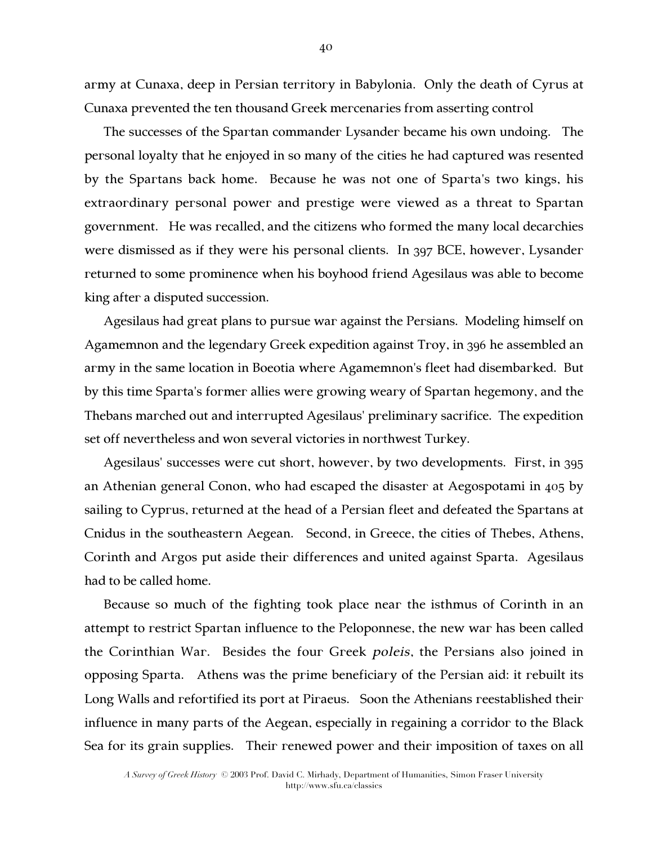army at Cunaxa, deep in Persian territory in Babylonia. Only the death of Cyrus at Cunaxa prevented the ten thousand Greek mercenaries from asserting control

The successes of the Spartan commander Lysander became his own undoing. The personal loyalty that he enjoyed in so many of the cities he had captured was resented by the Spartans back home. Because he was not one of Sparta's two kings, his extraordinary personal power and prestige were viewed as a threat to Spartan government. He was recalled, and the citizens who formed the many local decarchies were dismissed as if they were his personal clients. In 397 BCE, however, Lysander returned to some prominence when his boyhood friend Agesilaus was able to become king after a disputed succession.

Agesilaus had great plans to pursue war against the Persians. Modeling himself on Agamemnon and the legendary Greek expedition against Troy, in 396 he assembled an army in the same location in Boeotia where Agamemnon's fleet had disembarked. But by this time Sparta's former allies were growing weary of Spartan hegemony, and the Thebans marched out and interrupted Agesilaus' preliminary sacrifice. The expedition set off nevertheless and won several victories in northwest Turkey.

Agesilaus' successes were cut short, however, by two developments. First, in 395 an Athenian general Conon, who had escaped the disaster at Aegospotami in 405 by sailing to Cyprus, returned at the head of a Persian fleet and defeated the Spartans at Cnidus in the southeastern Aegean. Second, in Greece, the cities of Thebes, Athens, Corinth and Argos put aside their differences and united against Sparta. Agesilaus had to be called home.

Because so much of the fighting took place near the isthmus of Corinth in an attempt to restrict Spartan influence to the Peloponnese, the new war has been called the Corinthian War. Besides the four Greek *poleis*, the Persians also joined in opposing Sparta. Athens was the prime beneficiary of the Persian aid: it rebuilt its Long Walls and refortified its port at Piraeus. Soon the Athenians reestablished their influence in many parts of the Aegean, especially in regaining a corridor to the Black Sea for its grain supplies. Their renewed power and their imposition of taxes on all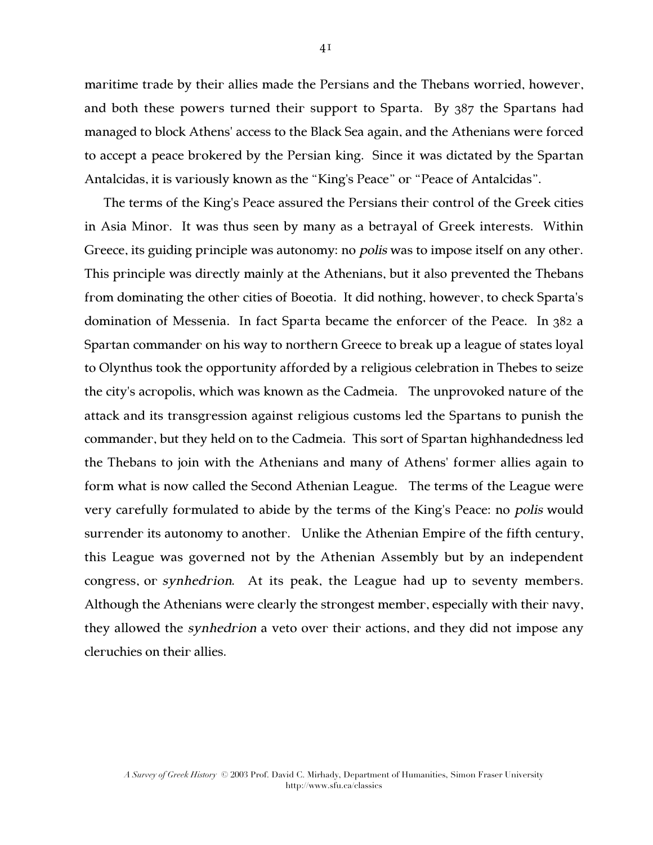maritime trade by their allies made the Persians and the Thebans worried, however, and both these powers turned their support to Sparta. By 387 the Spartans had managed to block Athens' access to the Black Sea again, and the Athenians were forced to accept a peace brokered by the Persian king. Since it was dictated by the Spartan Antalcidas, it is variously known as the "King's Peace" or "Peace of Antalcidas".

The terms of the King's Peace assured the Persians their control of the Greek cities in Asia Minor. It was thus seen by many as a betrayal of Greek interests. Within Greece, its guiding principle was autonomy: no *polis* was to impose itself on any other. This principle was directly mainly at the Athenians, but it also prevented the Thebans from dominating the other cities of Boeotia. It did nothing, however, to check Sparta's domination of Messenia. In fact Sparta became the enforcer of the Peace. In 382 a Spartan commander on his way to northern Greece to break up a league of states loyal to Olynthus took the opportunity afforded by a religious celebration in Thebes to seize the city's acropolis, which was known as the Cadmeia. The unprovoked nature of the attack and its transgression against religious customs led the Spartans to punish the commander, but they held on to the Cadmeia. This sort of Spartan highhandedness led the Thebans to join with the Athenians and many of Athens' former allies again to form what is now called the Second Athenian League. The terms of the League were very carefully formulated to abide by the terms of the King's Peace: no *polis* would surrender its autonomy to another. Unlike the Athenian Empire of the fifth century, this League was governed not by the Athenian Assembly but by an independent congress, or synhedrion. At its peak, the League had up to seventy members. Although the Athenians were clearly the strongest member, especially with their navy, they allowed the *synhedrion* a veto over their actions, and they did not impose any cleruchies on their allies.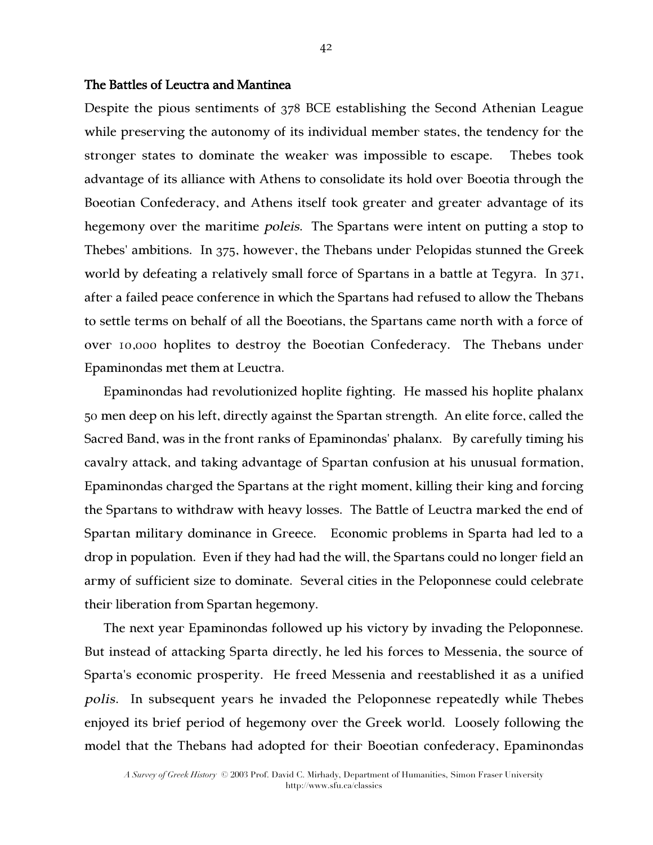#### The Battles of Leuctra and Mantinea

Despite the pious sentiments of 378 BCE establishing the Second Athenian League while preserving the autonomy of its individual member states, the tendency for the stronger states to dominate the weaker was impossible to escape. Thebes took advantage of its alliance with Athens to consolidate its hold over Boeotia through the Boeotian Confederacy, and Athens itself took greater and greater advantage of its hegemony over the maritime *poleis*. The Spartans were intent on putting a stop to Thebes' ambitions. In 375, however, the Thebans under Pelopidas stunned the Greek world by defeating a relatively small force of Spartans in a battle at Tegyra. In 371, after a failed peace conference in which the Spartans had refused to allow the Thebans to settle terms on behalf of all the Boeotians, the Spartans came north with a force of over 10,000 hoplites to destroy the Boeotian Confederacy. The Thebans under Epaminondas met them at Leuctra.

Epaminondas had revolutionized hoplite fighting. He massed his hoplite phalanx 50 men deep on his left, directly against the Spartan strength. An elite force, called the Sacred Band, was in the front ranks of Epaminondas' phalanx. By carefully timing his cavalry attack, and taking advantage of Spartan confusion at his unusual formation, Epaminondas charged the Spartans at the right moment, killing their king and forcing the Spartans to withdraw with heavy losses. The Battle of Leuctra marked the end of Spartan military dominance in Greece. Economic problems in Sparta had led to a drop in population. Even if they had had the will, the Spartans could no longer field an army of sufficient size to dominate. Several cities in the Peloponnese could celebrate their liberation from Spartan hegemony.

The next year Epaminondas followed up his victory by invading the Peloponnese. But instead of attacking Sparta directly, he led his forces to Messenia, the source of Sparta's economic prosperity. He freed Messenia and reestablished it as a unified polis. In subsequent years he invaded the Peloponnese repeatedly while Thebes enjoyed its brief period of hegemony over the Greek world. Loosely following the model that the Thebans had adopted for their Boeotian confederacy, Epaminondas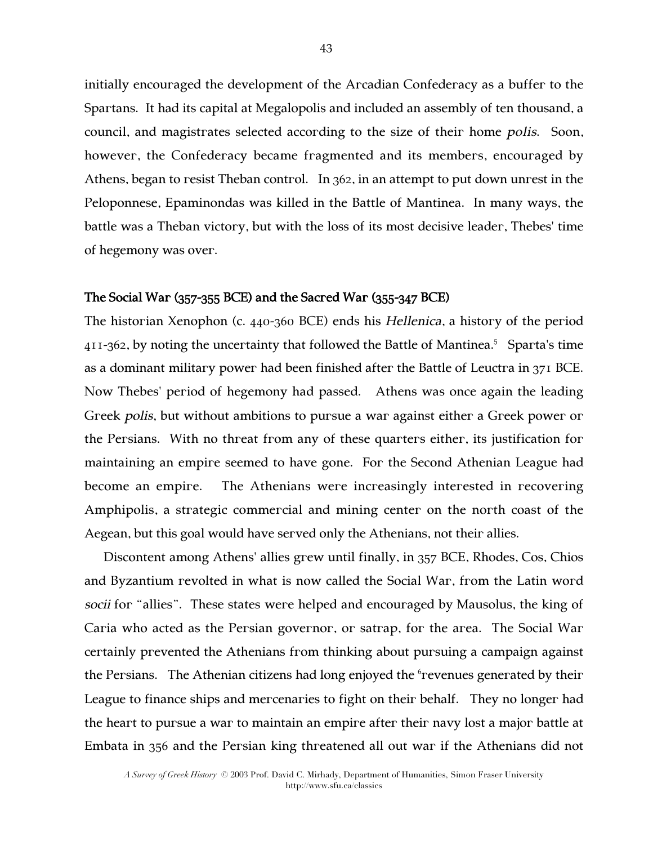initially encouraged the development of the Arcadian Confederacy as a buffer to the Spartans. It had its capital at Megalopolis and included an assembly of ten thousand, a council, and magistrates selected according to the size of their home polis. Soon, however, the Confederacy became fragmented and its members, encouraged by Athens, began to resist Theban control. In 362, in an attempt to put down unrest in the Peloponnese, Epaminondas was killed in the Battle of Mantinea. In many ways, the battle was a Theban victory, but with the loss of its most decisive leader, Thebes' time of hegemony was over.

# The Social War (357-355 BCE) and the Sacred War (355-347 BCE)

The historian Xenophon (c. 440-360 BCE) ends his Hellenica, a history of the period 411-362, by noting the uncertainty that followed the Battle of Mantinea.<sup>5</sup> Sparta's time as a dominant military power had been finished after the Battle of Leuctra in 371 BCE. Now Thebes' period of hegemony had passed. Athens was once again the leading Greek *polis*, but without ambitions to pursue a war against either a Greek power or the Persians. With no threat from any of these quarters either, its justification for maintaining an empire seemed to have gone. For the Second Athenian League had become an empire. The Athenians were increasingly interested in recovering Amphipolis, a strategic commercial and mining center on the north coast of the Aegean, but this goal would have served only the Athenians, not their allies.

Discontent among Athens' allies grew until finally, in 357 BCE, Rhodes, Cos, Chios and Byzantium revolted in what is now called the Social War, from the Latin word socii for "allies". These states were helped and encouraged by Mausolus, the king of Caria who acted as the Persian governor, or satrap, for the area. The Social War certainly prevented the Athenians from thinking about pursuing a campaign against the Persians. The Athenian citizens had long enjoyed the *frevenues generated by their* League to finance ships and mercenaries to fight on their behalf. They no longer had the heart to pursue a war to maintain an empire after their navy lost a major battle at Embata in 356 and the Persian king threatened all out war if the Athenians did not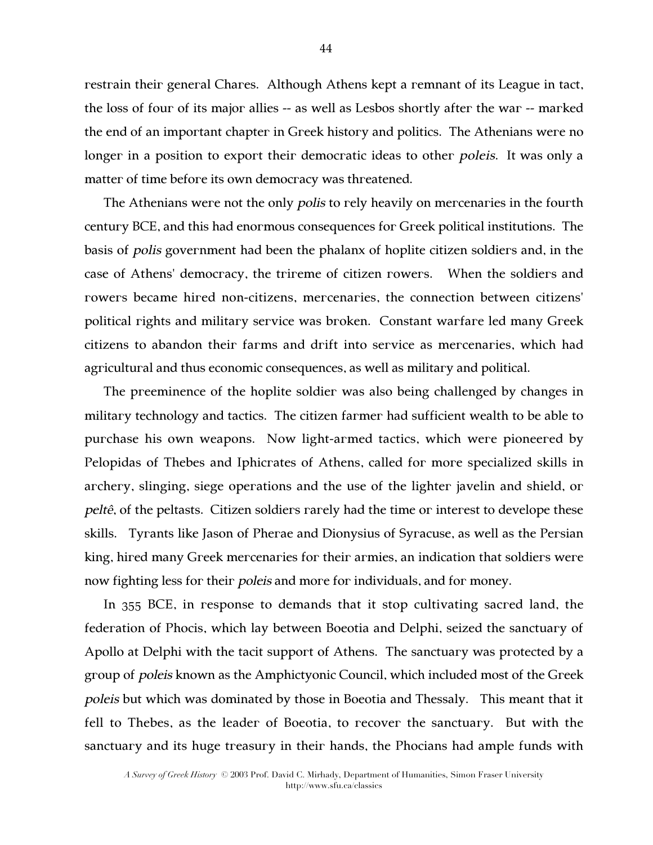restrain their general Chares. Although Athens kept a remnant of its League in tact, the loss of four of its major allies -- as well as Lesbos shortly after the war -- marked the end of an important chapter in Greek history and politics. The Athenians were no longer in a position to export their democratic ideas to other *poleis*. It was only a matter of time before its own democracy was threatened.

The Athenians were not the only *polis* to rely heavily on mercenaries in the fourth century BCE, and this had enormous consequences for Greek political institutions. The basis of polis government had been the phalanx of hoplite citizen soldiers and, in the case of Athens' democracy, the trireme of citizen rowers. When the soldiers and rowers became hired non-citizens, mercenaries, the connection between citizens' political rights and military service was broken. Constant warfare led many Greek citizens to abandon their farms and drift into service as mercenaries, which had agricultural and thus economic consequences, as well as military and political.

The preeminence of the hoplite soldier was also being challenged by changes in military technology and tactics. The citizen farmer had sufficient wealth to be able to purchase his own weapons. Now light-armed tactics, which were pioneered by Pelopidas of Thebes and Iphicrates of Athens, called for more specialized skills in archery, slinging, siege operations and the use of the lighter javelin and shield, or peltê, of the peltasts. Citizen soldiers rarely had the time or interest to develope these skills. Tyrants like Jason of Pherae and Dionysius of Syracuse, as well as the Persian king, hired many Greek mercenaries for their armies, an indication that soldiers were now fighting less for their *poleis* and more for individuals, and for money.

In 355 BCE, in response to demands that it stop cultivating sacred land, the federation of Phocis, which lay between Boeotia and Delphi, seized the sanctuary of Apollo at Delphi with the tacit support of Athens. The sanctuary was protected by a group of poleis known as the Amphictyonic Council, which included most of the Greek poleis but which was dominated by those in Boeotia and Thessaly. This meant that it fell to Thebes, as the leader of Boeotia, to recover the sanctuary. But with the sanctuary and its huge treasury in their hands, the Phocians had ample funds with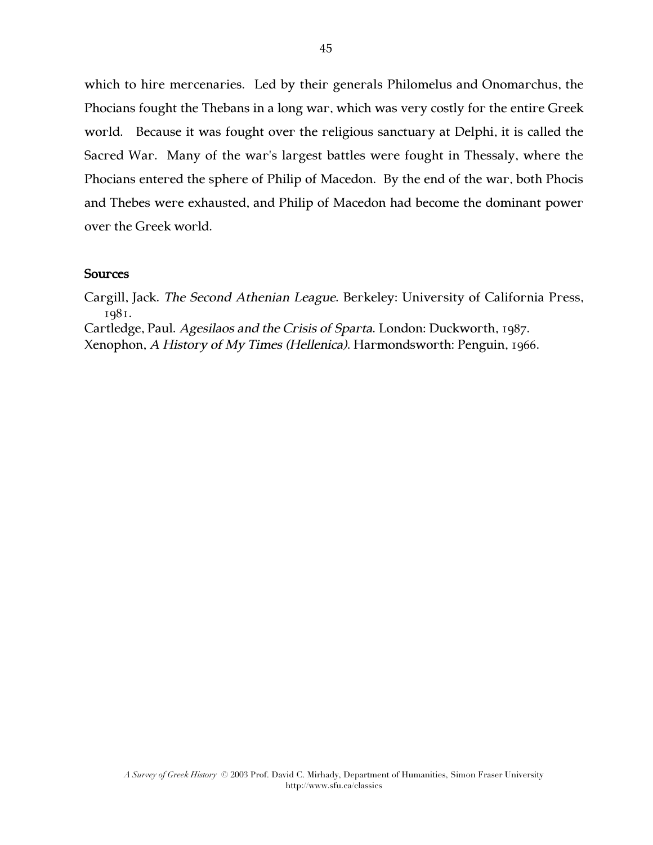which to hire mercenaries. Led by their generals Philomelus and Onomarchus, the Phocians fought the Thebans in a long war, which was very costly for the entire Greek world. Because it was fought over the religious sanctuary at Delphi, it is called the Sacred War. Many of the war's largest battles were fought in Thessaly, where the Phocians entered the sphere of Philip of Macedon. By the end of the war, both Phocis and Thebes were exhausted, and Philip of Macedon had become the dominant power over the Greek world.

# Sources

Cargill, Jack. The Second Athenian League. Berkeley: University of California Press, 1981.

Cartledge, Paul. Agesilaos and the Crisis of Sparta. London: Duckworth, 1987. Xenophon, A History of My Times (Hellenica). Harmondsworth: Penguin, 1966.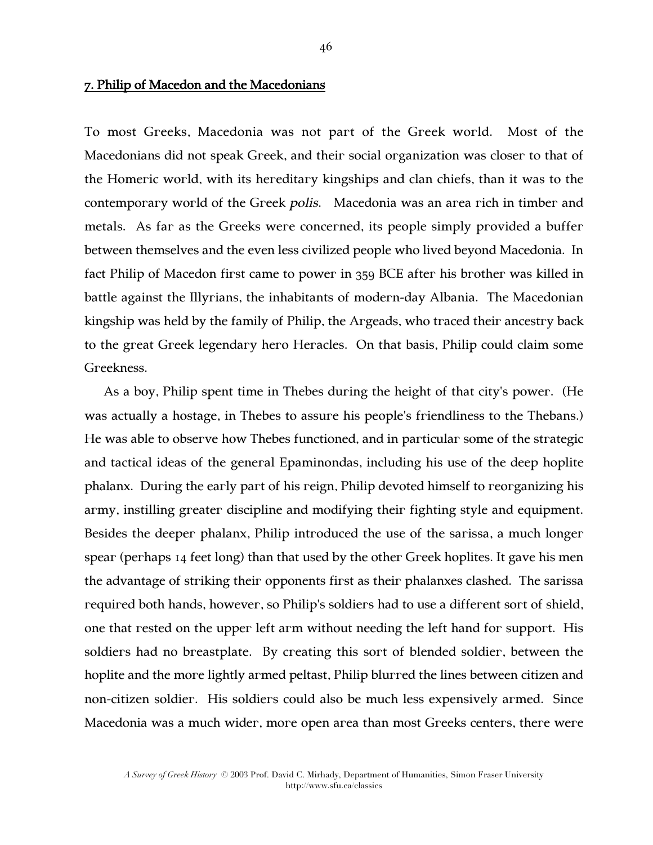#### 7. Philip of Macedon and the Macedonians

To most Greeks, Macedonia was not part of the Greek world. Most of the Macedonians did not speak Greek, and their social organization was closer to that of the Homeric world, with its hereditary kingships and clan chiefs, than it was to the contemporary world of the Greek *polis*. Macedonia was an area rich in timber and metals. As far as the Greeks were concerned, its people simply provided a buffer between themselves and the even less civilized people who lived beyond Macedonia. In fact Philip of Macedon first came to power in 359 BCE after his brother was killed in battle against the Illyrians, the inhabitants of modern-day Albania. The Macedonian kingship was held by the family of Philip, the Argeads, who traced their ancestry back to the great Greek legendary hero Heracles. On that basis, Philip could claim some Greekness.

As a boy, Philip spent time in Thebes during the height of that city's power. (He was actually a hostage, in Thebes to assure his people's friendliness to the Thebans.) He was able to observe how Thebes functioned, and in particular some of the strategic and tactical ideas of the general Epaminondas, including his use of the deep hoplite phalanx. During the early part of his reign, Philip devoted himself to reorganizing his army, instilling greater discipline and modifying their fighting style and equipment. Besides the deeper phalanx, Philip introduced the use of the sarissa, a much longer spear (perhaps 14 feet long) than that used by the other Greek hoplites. It gave his men the advantage of striking their opponents first as their phalanxes clashed. The sarissa required both hands, however, so Philip's soldiers had to use a different sort of shield, one that rested on the upper left arm without needing the left hand for support. His soldiers had no breastplate. By creating this sort of blended soldier, between the hoplite and the more lightly armed peltast, Philip blurred the lines between citizen and non-citizen soldier. His soldiers could also be much less expensively armed. Since Macedonia was a much wider, more open area than most Greeks centers, there were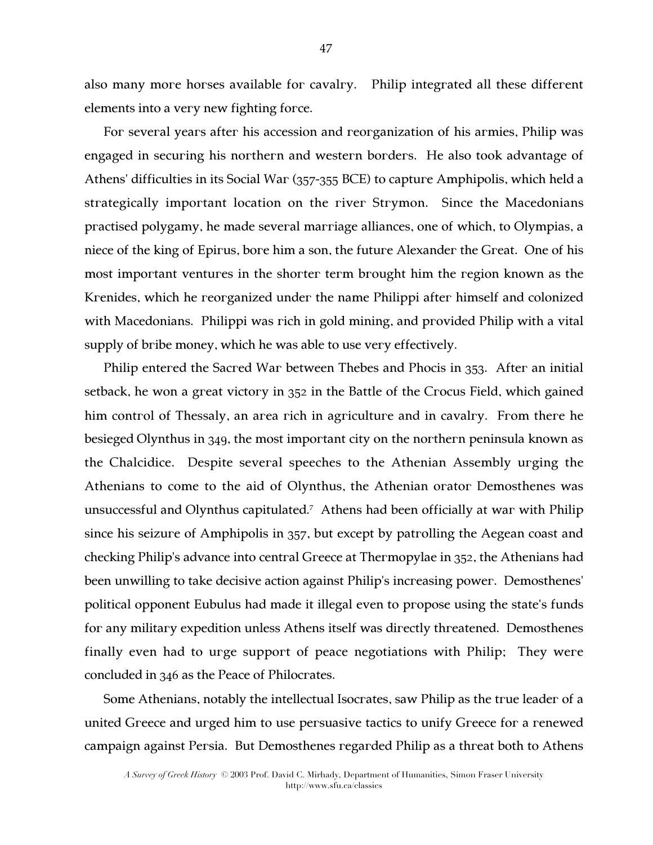also many more horses available for cavalry. Philip integrated all these different elements into a very new fighting force.

For several years after his accession and reorganization of his armies, Philip was engaged in securing his northern and western borders. He also took advantage of Athens' difficulties in its Social War (357-355 BCE) to capture Amphipolis, which held a strategically important location on the river Strymon. Since the Macedonians practised polygamy, he made several marriage alliances, one of which, to Olympias, a niece of the king of Epirus, bore him a son, the future Alexander the Great. One of his most important ventures in the shorter term brought him the region known as the Krenides, which he reorganized under the name Philippi after himself and colonized with Macedonians. Philippi was rich in gold mining, and provided Philip with a vital supply of bribe money, which he was able to use very effectively.

Philip entered the Sacred War between Thebes and Phocis in 353. After an initial setback, he won a great victory in 352 in the Battle of the Crocus Field, which gained him control of Thessaly, an area rich in agriculture and in cavalry. From there he besieged Olynthus in 349, the most important city on the northern peninsula known as the Chalcidice. Despite several speeches to the Athenian Assembly urging the Athenians to come to the aid of Olynthus, the Athenian orator Demosthenes was unsuccessful and Olynthus capitulated.<sup>7</sup> Athens had been officially at war with Philip since his seizure of Amphipolis in 357, but except by patrolling the Aegean coast and checking Philip's advance into central Greece at Thermopylae in 352, the Athenians had been unwilling to take decisive action against Philip's increasing power. Demosthenes' political opponent Eubulus had made it illegal even to propose using the state's funds for any military expedition unless Athens itself was directly threatened. Demosthenes finally even had to urge support of peace negotiations with Philip; They were concluded in 346 as the Peace of Philocrates.

Some Athenians, notably the intellectual Isocrates, saw Philip as the true leader of a united Greece and urged him to use persuasive tactics to unify Greece for a renewed campaign against Persia. But Demosthenes regarded Philip as a threat both to Athens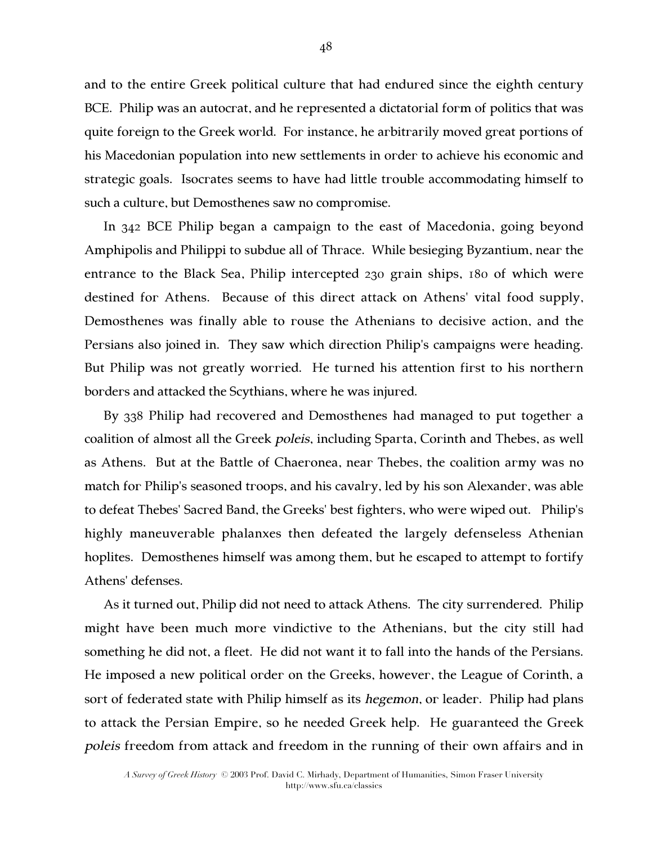and to the entire Greek political culture that had endured since the eighth century BCE. Philip was an autocrat, and he represented a dictatorial form of politics that was quite foreign to the Greek world. For instance, he arbitrarily moved great portions of his Macedonian population into new settlements in order to achieve his economic and strategic goals. Isocrates seems to have had little trouble accommodating himself to such a culture, but Demosthenes saw no compromise.

In 342 BCE Philip began a campaign to the east of Macedonia, going beyond Amphipolis and Philippi to subdue all of Thrace. While besieging Byzantium, near the entrance to the Black Sea, Philip intercepted 230 grain ships, 180 of which were destined for Athens. Because of this direct attack on Athens' vital food supply, Demosthenes was finally able to rouse the Athenians to decisive action, and the Persians also joined in. They saw which direction Philip's campaigns were heading. But Philip was not greatly worried. He turned his attention first to his northern borders and attacked the Scythians, where he was injured.

By 338 Philip had recovered and Demosthenes had managed to put together a coalition of almost all the Greek poleis, including Sparta, Corinth and Thebes, as well as Athens. But at the Battle of Chaeronea, near Thebes, the coalition army was no match for Philip's seasoned troops, and his cavalry, led by his son Alexander, was able to defeat Thebes' Sacred Band, the Greeks' best fighters, who were wiped out. Philip's highly maneuverable phalanxes then defeated the largely defenseless Athenian hoplites. Demosthenes himself was among them, but he escaped to attempt to fortify Athens' defenses.

As it turned out, Philip did not need to attack Athens. The city surrendered. Philip might have been much more vindictive to the Athenians, but the city still had something he did not, a fleet. He did not want it to fall into the hands of the Persians. He imposed a new political order on the Greeks, however, the League of Corinth, a sort of federated state with Philip himself as its *hegemon*, or leader. Philip had plans to attack the Persian Empire, so he needed Greek help. He guaranteed the Greek poleis freedom from attack and freedom in the running of their own affairs and in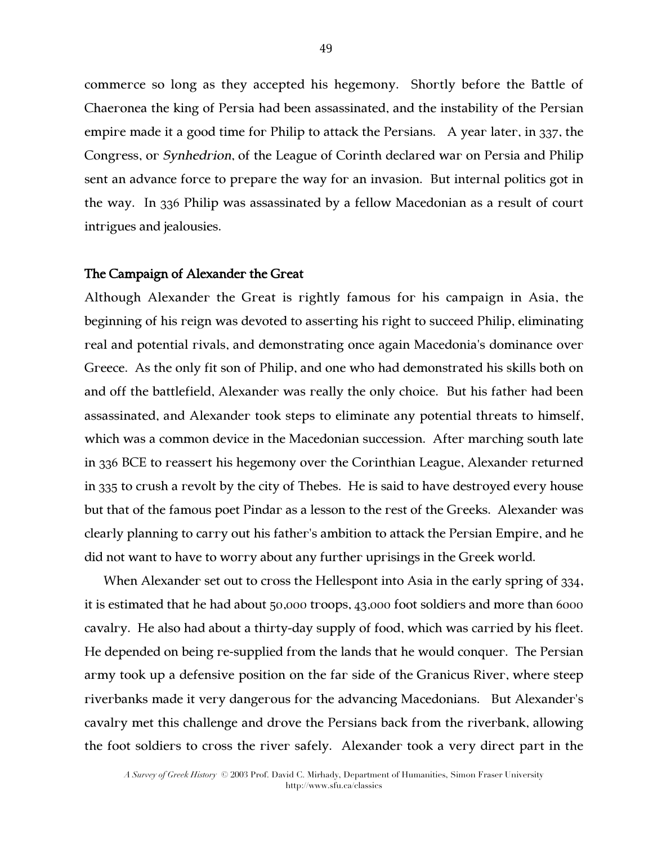commerce so long as they accepted his hegemony. Shortly before the Battle of Chaeronea the king of Persia had been assassinated, and the instability of the Persian empire made it a good time for Philip to attack the Persians. A year later, in 337, the Congress, or Synhedrion, of the League of Corinth declared war on Persia and Philip sent an advance force to prepare the way for an invasion. But internal politics got in the way. In 336 Philip was assassinated by a fellow Macedonian as a result of court intrigues and jealousies.

#### The Campaign of Alexander the Great

Although Alexander the Great is rightly famous for his campaign in Asia, the beginning of his reign was devoted to asserting his right to succeed Philip, eliminating real and potential rivals, and demonstrating once again Macedonia's dominance over Greece. As the only fit son of Philip, and one who had demonstrated his skills both on and off the battlefield, Alexander was really the only choice. But his father had been assassinated, and Alexander took steps to eliminate any potential threats to himself, which was a common device in the Macedonian succession. After marching south late in 336 BCE to reassert his hegemony over the Corinthian League, Alexander returned in 335 to crush a revolt by the city of Thebes. He is said to have destroyed every house but that of the famous poet Pindar as a lesson to the rest of the Greeks. Alexander was clearly planning to carry out his father's ambition to attack the Persian Empire, and he did not want to have to worry about any further uprisings in the Greek world.

When Alexander set out to cross the Hellespont into Asia in the early spring of 334, it is estimated that he had about 50,000 troops, 43,000 foot soldiers and more than 6000 cavalry. He also had about a thirty-day supply of food, which was carried by his fleet. He depended on being re-supplied from the lands that he would conquer. The Persian army took up a defensive position on the far side of the Granicus River, where steep riverbanks made it very dangerous for the advancing Macedonians. But Alexander's cavalry met this challenge and drove the Persians back from the riverbank, allowing the foot soldiers to cross the river safely. Alexander took a very direct part in the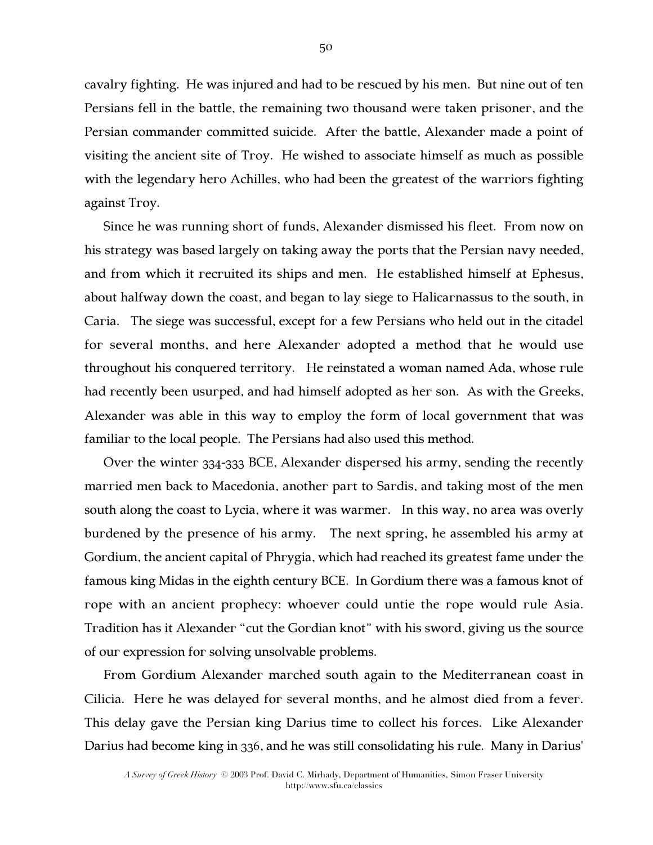cavalry fighting. He was injured and had to be rescued by his men. But nine out of ten Persians fell in the battle, the remaining two thousand were taken prisoner, and the Persian commander committed suicide. After the battle, Alexander made a point of visiting the ancient site of Troy. He wished to associate himself as much as possible with the legendary hero Achilles, who had been the greatest of the warriors fighting against Troy.

Since he was running short of funds, Alexander dismissed his fleet. From now on his strategy was based largely on taking away the ports that the Persian navy needed, and from which it recruited its ships and men. He established himself at Ephesus, about halfway down the coast, and began to lay siege to Halicarnassus to the south, in Caria. The siege was successful, except for a few Persians who held out in the citadel for several months, and here Alexander adopted a method that he would use throughout his conquered territory. He reinstated a woman named Ada, whose rule had recently been usurped, and had himself adopted as her son. As with the Greeks, Alexander was able in this way to employ the form of local government that was familiar to the local people. The Persians had also used this method.

Over the winter 334-333 BCE, Alexander dispersed his army, sending the recently married men back to Macedonia, another part to Sardis, and taking most of the men south along the coast to Lycia, where it was warmer. In this way, no area was overly burdened by the presence of his army. The next spring, he assembled his army at Gordium, the ancient capital of Phrygia, which had reached its greatest fame under the famous king Midas in the eighth century BCE. In Gordium there was a famous knot of rope with an ancient prophecy: whoever could untie the rope would rule Asia. Tradition has it Alexander "cut the Gordian knot" with his sword, giving us the source of our expression for solving unsolvable problems.

From Gordium Alexander marched south again to the Mediterranean coast in Cilicia. Here he was delayed for several months, and he almost died from a fever. This delay gave the Persian king Darius time to collect his forces. Like Alexander Darius had become king in 336, and he was still consolidating his rule. Many in Darius'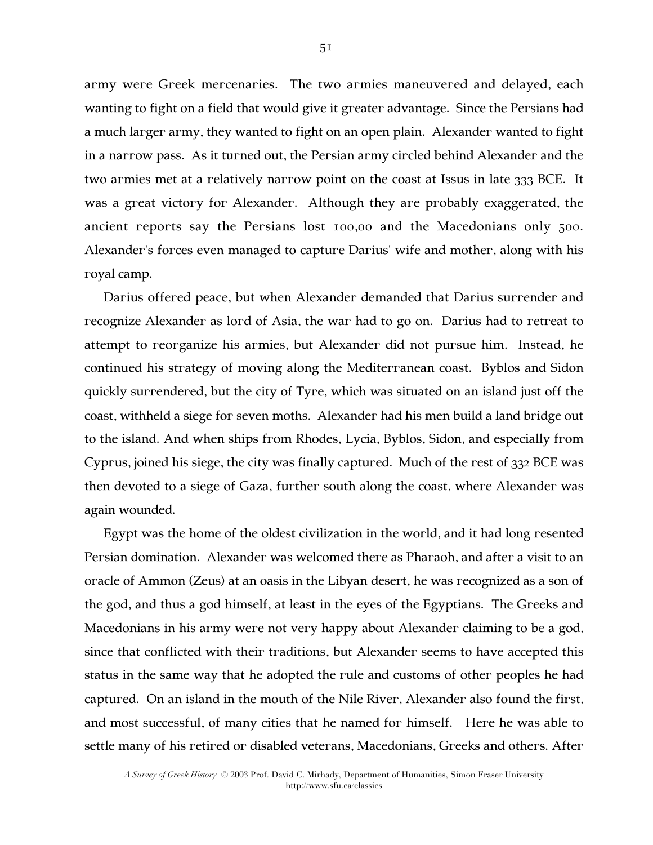army were Greek mercenaries. The two armies maneuvered and delayed, each wanting to fight on a field that would give it greater advantage. Since the Persians had a much larger army, they wanted to fight on an open plain. Alexander wanted to fight in a narrow pass. As it turned out, the Persian army circled behind Alexander and the two armies met at a relatively narrow point on the coast at Issus in late 333 BCE. It was a great victory for Alexander. Although they are probably exaggerated, the ancient reports say the Persians lost 100,00 and the Macedonians only 500. Alexander's forces even managed to capture Darius' wife and mother, along with his royal camp.

Darius offered peace, but when Alexander demanded that Darius surrender and recognize Alexander as lord of Asia, the war had to go on. Darius had to retreat to attempt to reorganize his armies, but Alexander did not pursue him. Instead, he continued his strategy of moving along the Mediterranean coast. Byblos and Sidon quickly surrendered, but the city of Tyre, which was situated on an island just off the coast, withheld a siege for seven moths. Alexander had his men build a land bridge out to the island. And when ships from Rhodes, Lycia, Byblos, Sidon, and especially from Cyprus, joined his siege, the city was finally captured. Much of the rest of 332 BCE was then devoted to a siege of Gaza, further south along the coast, where Alexander was again wounded.

Egypt was the home of the oldest civilization in the world, and it had long resented Persian domination. Alexander was welcomed there as Pharaoh, and after a visit to an oracle of Ammon (Zeus) at an oasis in the Libyan desert, he was recognized as a son of the god, and thus a god himself, at least in the eyes of the Egyptians. The Greeks and Macedonians in his army were not very happy about Alexander claiming to be a god, since that conflicted with their traditions, but Alexander seems to have accepted this status in the same way that he adopted the rule and customs of other peoples he had captured. On an island in the mouth of the Nile River, Alexander also found the first, and most successful, of many cities that he named for himself. Here he was able to settle many of his retired or disabled veterans, Macedonians, Greeks and others. After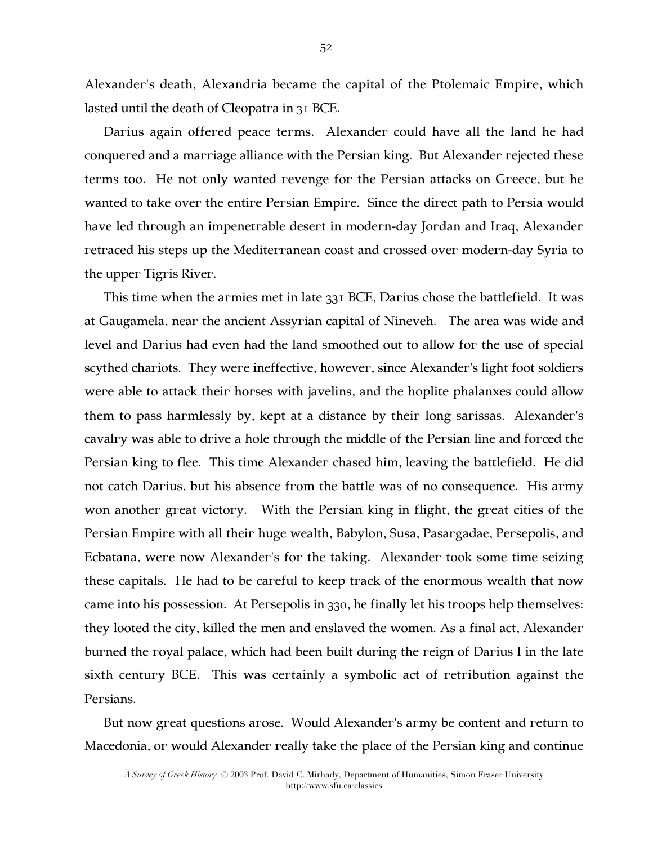Alexander's death, Alexandria became the capital of the Ptolemaic Empire, which lasted until the death of Cleopatra in 31 BCE.

Darius again offered peace terms. Alexander could have all the land he had conquered and a marriage alliance with the Persian king. But Alexander rejected these terms too. He not only wanted revenge for the Persian attacks on Greece, but he wanted to take over the entire Persian Empire. Since the direct path to Persia would have led through an impenetrable desert in modern-day Jordan and Iraq, Alexander retraced his steps up the Mediterranean coast and crossed over modern-day Syria to the upper Tigris River.

This time when the armies met in late 331 BCE, Darius chose the battlefield. It was at Gaugamela, near the ancient Assyrian capital of Nineveh. The area was wide and level and Darius had even had the land smoothed out to allow for the use of special scythed chariots. They were ineffective, however, since Alexander's light foot soldiers were able to attack their horses with javelins, and the hoplite phalanxes could allow them to pass harmlessly by, kept at a distance by their long sarissas. Alexander's cavalry was able to drive a hole through the middle of the Persian line and forced the Persian king to flee. This time Alexander chased him, leaving the battlefield. He did not catch Darius, but his absence from the battle was of no consequence. His army won another great victory. With the Persian king in flight, the great cities of the Persian Empire with all their huge wealth, Babylon, Susa, Pasargadae, Persepolis, and Ecbatana, were now Alexander's for the taking. Alexander took some time seizing these capitals. He had to be careful to keep track of the enormous wealth that now came into his possession. At Persepolis in 330, he finally let his troops help themselves: they looted the city, killed the men and enslaved the women. As a final act, Alexander burned the royal palace, which had been built during the reign of Darius I in the late sixth century BCE. This was certainly a symbolic act of retribution against the Persians.

But now great questions arose. Would Alexander's army be content and return to Macedonia, or would Alexander really take the place of the Persian king and continue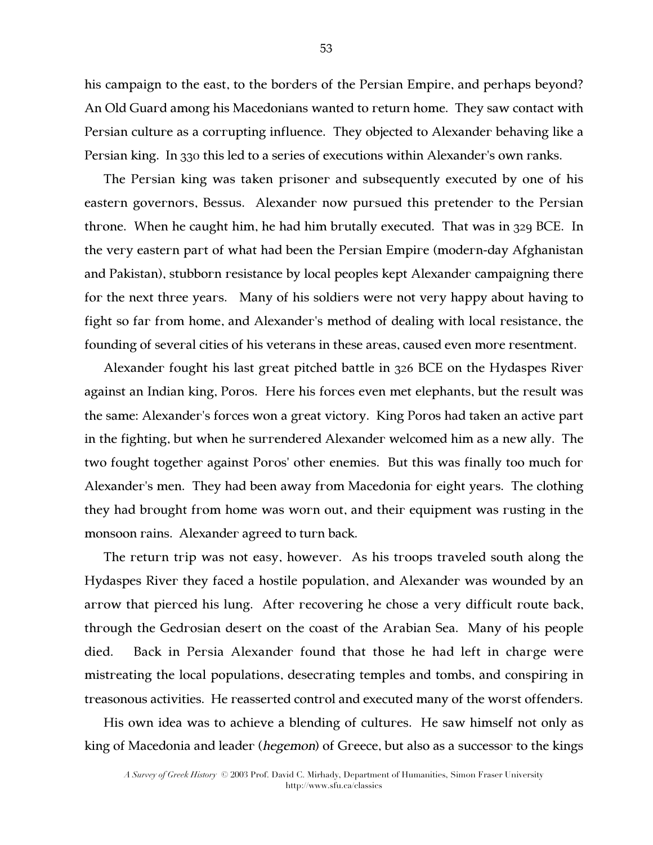his campaign to the east, to the borders of the Persian Empire, and perhaps beyond? An Old Guard among his Macedonians wanted to return home. They saw contact with Persian culture as a corrupting influence. They objected to Alexander behaving like a Persian king. In 330 this led to a series of executions within Alexander's own ranks.

The Persian king was taken prisoner and subsequently executed by one of his eastern governors, Bessus. Alexander now pursued this pretender to the Persian throne. When he caught him, he had him brutally executed. That was in 329 BCE. In the very eastern part of what had been the Persian Empire (modern-day Afghanistan and Pakistan), stubborn resistance by local peoples kept Alexander campaigning there for the next three years. Many of his soldiers were not very happy about having to fight so far from home, and Alexander's method of dealing with local resistance, the founding of several cities of his veterans in these areas, caused even more resentment.

Alexander fought his last great pitched battle in 326 BCE on the Hydaspes River against an Indian king, Poros. Here his forces even met elephants, but the result was the same: Alexander's forces won a great victory. King Poros had taken an active part in the fighting, but when he surrendered Alexander welcomed him as a new ally. The two fought together against Poros' other enemies. But this was finally too much for Alexander's men. They had been away from Macedonia for eight years. The clothing they had brought from home was worn out, and their equipment was rusting in the monsoon rains. Alexander agreed to turn back.

The return trip was not easy, however. As his troops traveled south along the Hydaspes River they faced a hostile population, and Alexander was wounded by an arrow that pierced his lung. After recovering he chose a very difficult route back, through the Gedrosian desert on the coast of the Arabian Sea. Many of his people died. Back in Persia Alexander found that those he had left in charge were mistreating the local populations, desecrating temples and tombs, and conspiring in treasonous activities. He reasserted control and executed many of the worst offenders.

His own idea was to achieve a blending of cultures. He saw himself not only as king of Macedonia and leader (*hegemon*) of Greece, but also as a successor to the kings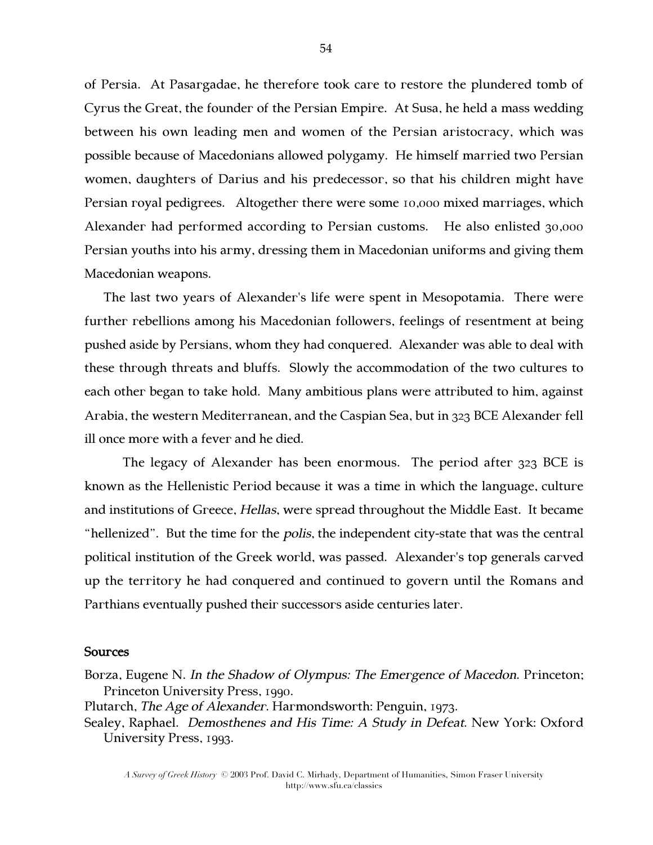of Persia. At Pasargadae, he therefore took care to restore the plundered tomb of Cyrus the Great, the founder of the Persian Empire. At Susa, he held a mass wedding between his own leading men and women of the Persian aristocracy, which was possible because of Macedonians allowed polygamy. He himself married two Persian women, daughters of Darius and his predecessor, so that his children might have Persian royal pedigrees. Altogether there were some 10,000 mixed marriages, which Alexander had performed according to Persian customs. He also enlisted 30,000 Persian youths into his army, dressing them in Macedonian uniforms and giving them Macedonian weapons.

The last two years of Alexander's life were spent in Mesopotamia. There were further rebellions among his Macedonian followers, feelings of resentment at being pushed aside by Persians, whom they had conquered. Alexander was able to deal with these through threats and bluffs. Slowly the accommodation of the two cultures to each other began to take hold. Many ambitious plans were attributed to him, against Arabia, the western Mediterranean, and the Caspian Sea, but in 323 BCE Alexander fell ill once more with a fever and he died.

The legacy of Alexander has been enormous. The period after 323 BCE is known as the Hellenistic Period because it was a time in which the language, culture and institutions of Greece, Hellas, were spread throughout the Middle East. It became "hellenized". But the time for the *polis*, the independent city-state that was the central political institution of the Greek world, was passed. Alexander's top generals carved up the territory he had conquered and continued to govern until the Romans and Parthians eventually pushed their successors aside centuries later.

#### **Sources**

Borza, Eugene N. In the Shadow of Olympus: The Emergence of Macedon. Princeton; Princeton University Press, 1990.

Plutarch, The Age of Alexander. Harmondsworth: Penguin, 1973.

Sealey, Raphael. Demosthenes and His Time: A Study in Defeat. New York: Oxford University Press, 1993.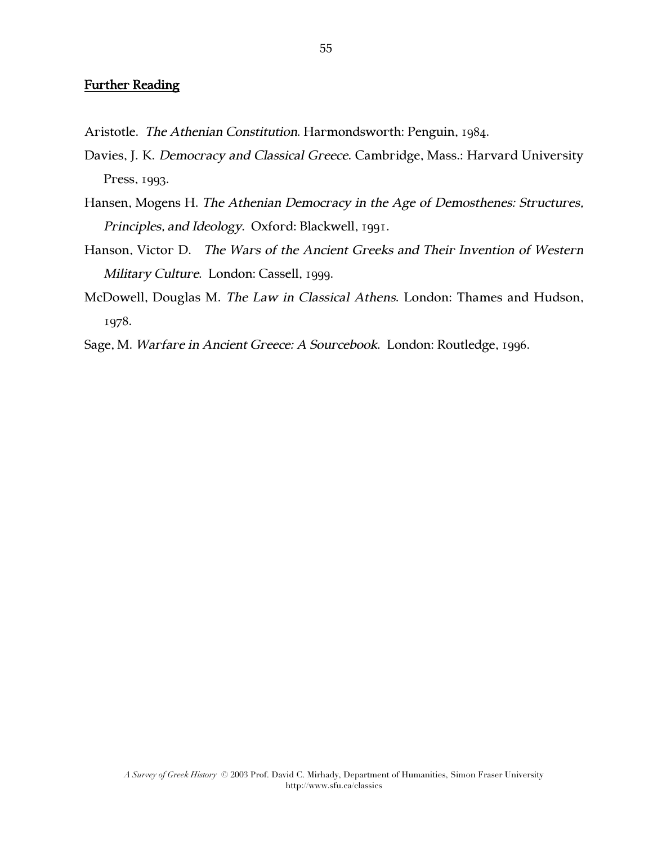# Further Reading

- Aristotle. The Athenian Constitution. Harmondsworth: Penguin, 1984.
- Davies, J. K. Democracy and Classical Greece. Cambridge, Mass.: Harvard University Press, 1993.
- Hansen, Mogens H. The Athenian Democracy in the Age of Demosthenes: Structures, Principles, and Ideology. Oxford: Blackwell, 1991.
- Hanson, Victor D. The Wars of the Ancient Greeks and Their Invention of Western Military Culture. London: Cassell, 1999.
- McDowell, Douglas M. The Law in Classical Athens. London: Thames and Hudson, 1978.
- Sage, M. Warfare in Ancient Greece: A Sourcebook. London: Routledge, 1996.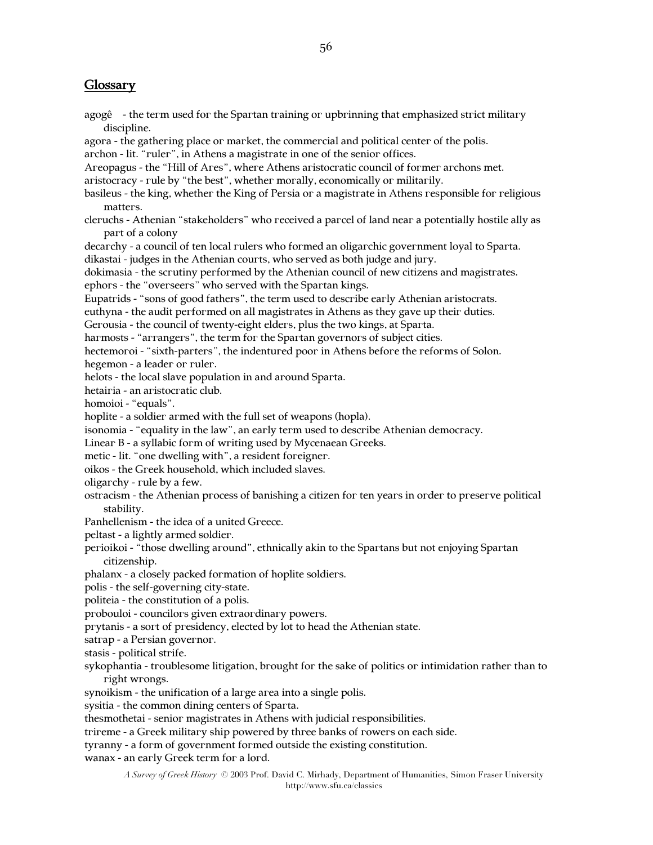# Glossary

agogê - the term used for the Spartan training or upbrinning that emphasized strict military discipline. agora - the gathering place or market, the commercial and political center of the polis. archon - lit. "ruler", in Athens a magistrate in one of the senior offices. Areopagus - the "Hill of Ares", where Athens aristocratic council of former archons met. aristocracy - rule by "the best", whether morally, economically or militarily. basileus - the king, whether the King of Persia or a magistrate in Athens responsible for religious matters. cleruchs - Athenian "stakeholders" who received a parcel of land near a potentially hostile ally as part of a colony decarchy - a council of ten local rulers who formed an oligarchic government loyal to Sparta. dikastai - judges in the Athenian courts, who served as both judge and jury. dokimasia - the scrutiny performed by the Athenian council of new citizens and magistrates. ephors - the "overseers" who served with the Spartan kings. Eupatrids - "sons of good fathers", the term used to describe early Athenian aristocrats. euthyna - the audit performed on all magistrates in Athens as they gave up their duties. Gerousia - the council of twenty-eight elders, plus the two kings, at Sparta. harmosts - "arrangers", the term for the Spartan governors of subject cities. hectemoroi - "sixth-parters", the indentured poor in Athens before the reforms of Solon. hegemon - a leader or ruler. helots - the local slave population in and around Sparta. hetairia - an aristocratic club. homoioi - "equals". hoplite - a soldier armed with the full set of weapons (hopla). isonomia - "equality in the law", an early term used to describe Athenian democracy. Linear B - a syllabic form of writing used by Mycenaean Greeks. metic - lit. "one dwelling with", a resident foreigner. oikos - the Greek household, which included slaves. oligarchy - rule by a few. ostracism - the Athenian process of banishing a citizen for ten years in order to preserve political stability. Panhellenism - the idea of a united Greece. peltast - a lightly armed soldier. perioikoi - "those dwelling around", ethnically akin to the Spartans but not enjoying Spartan citizenship. phalanx - a closely packed formation of hoplite soldiers. polis - the self-governing city-state. politeia - the constitution of a polis. probouloi - councilors given extraordinary powers. prytanis - a sort of presidency, elected by lot to head the Athenian state. satrap - a Persian governor. stasis - political strife. sykophantia - troublesome litigation, brought for the sake of politics or intimidation rather than to right wrongs. synoikism - the unification of a large area into a single polis. sysitia - the common dining centers of Sparta. thesmothetai - senior magistrates in Athens with judicial responsibilities. trireme - a Greek military ship powered by three banks of rowers on each side.

tyranny - a form of government formed outside the existing constitution. wanax - an early Greek term for a lord.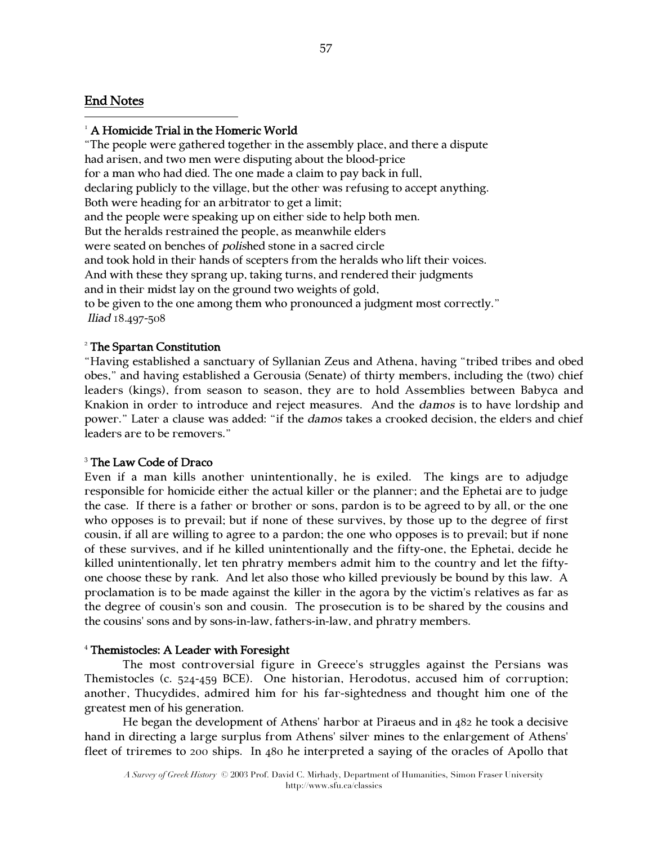# End Notes

## $\overline{a}$ <sup>1</sup> A Homicide Trial in the Homeric World

"The people were gathered together in the assembly place, and there a dispute had arisen, and two men were disputing about the blood-price for a man who had died. The one made a claim to pay back in full, declaring publicly to the village, but the other was refusing to accept anything. Both were heading for an arbitrator to get a limit; and the people were speaking up on either side to help both men. But the heralds restrained the people, as meanwhile elders were seated on benches of polished stone in a sacred circle and took hold in their hands of scepters from the heralds who lift their voices. And with these they sprang up, taking turns, and rendered their judgments and in their midst lay on the ground two weights of gold, to be given to the one among them who pronounced a judgment most correctly." Iliad 18.497-508

# <sup>2</sup> The Spartan Constitution

"Having established a sanctuary of Syllanian Zeus and Athena, having "tribed tribes and obed obes," and having established a Gerousia (Senate) of thirty members, including the (two) chief leaders (kings), from season to season, they are to hold Assemblies between Babyca and Knakion in order to introduce and reject measures. And the *damos* is to have lordship and power." Later a clause was added: "if the *damos* takes a crooked decision, the elders and chief leaders are to be removers."

# <sup>3</sup> The Law Code of Draco

Even if a man kills another unintentionally, he is exiled. The kings are to adjudge responsible for homicide either the actual killer or the planner; and the Ephetai are to judge the case. If there is a father or brother or sons, pardon is to be agreed to by all, or the one who opposes is to prevail; but if none of these survives, by those up to the degree of first cousin, if all are willing to agree to a pardon; the one who opposes is to prevail; but if none of these survives, and if he killed unintentionally and the fifty-one, the Ephetai, decide he killed unintentionally, let ten phratry members admit him to the country and let the fiftyone choose these by rank. And let also those who killed previously be bound by this law. A proclamation is to be made against the killer in the agora by the victim's relatives as far as the degree of cousin's son and cousin. The prosecution is to be shared by the cousins and the cousins' sons and by sons-in-law, fathers-in-law, and phratry members.

# <sup>4</sup> Themistocles: A Leader with Foresight

The most controversial figure in Greece's struggles against the Persians was Themistocles (c. 524-459 BCE). One historian, Herodotus, accused him of corruption; another, Thucydides, admired him for his far-sightedness and thought him one of the greatest men of his generation.

He began the development of Athens' harbor at Piraeus and in 482 he took a decisive hand in directing a large surplus from Athens' silver mines to the enlargement of Athens' fleet of triremes to 200 ships. In 480 he interpreted a saying of the oracles of Apollo that